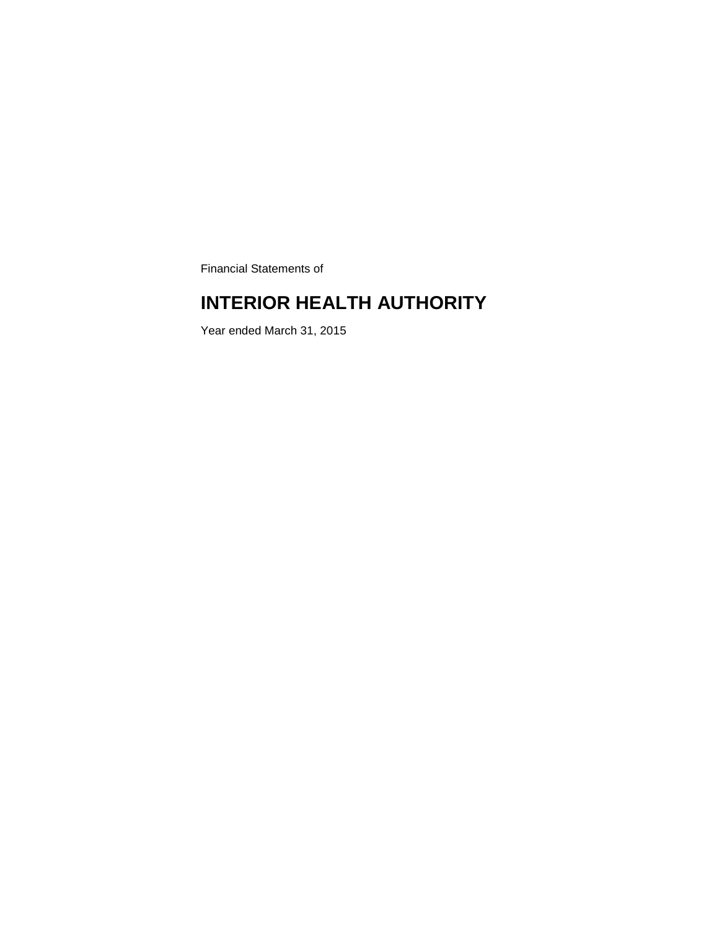Financial Statements of

# **INTERIOR HEALTH AUTHORITY**

Year ended March 31, 2015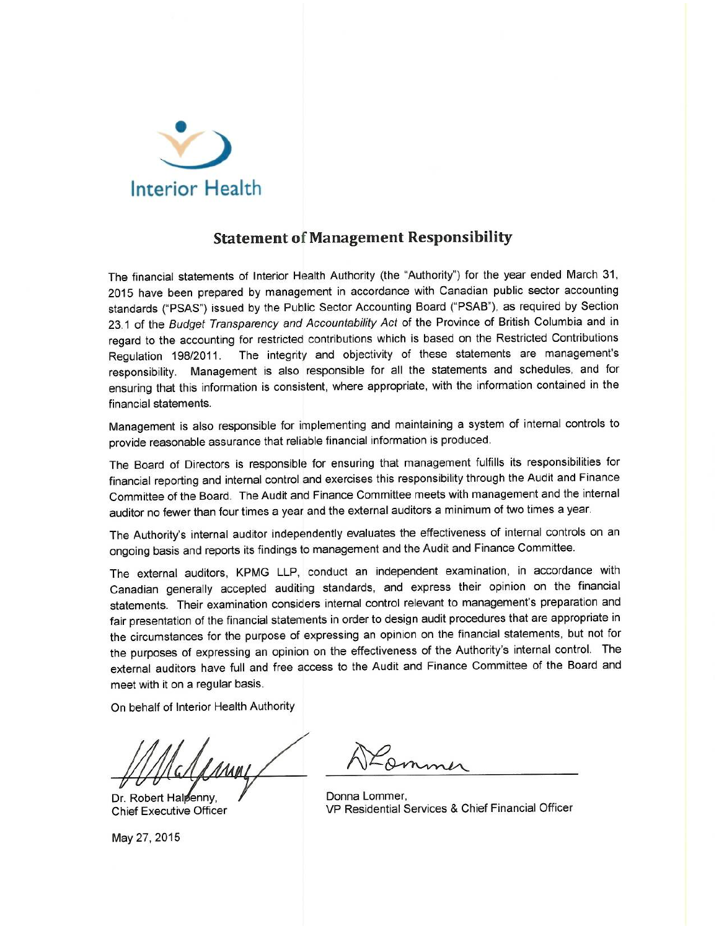

### **Statement of Management Responsibility**

The financial statements of Interior Health Authority (the "Authority") for the year ended March 31, 2015 have been prepared by management in accordance with Canadian public sector accounting standards ("PSAS") issued by the Public Sector Accounting Board ("PSAB"), as required by Section 23.1 of the Budget Transparency and Accountability Act of the Province of British Columbia and in regard to the accounting for restricted contributions which is based on the Restricted Contributions The integrity and objectivity of these statements are management's Regulation 198/2011. responsibility. Management is also responsible for all the statements and schedules, and for ensuring that this information is consistent, where appropriate, with the information contained in the financial statements.

Management is also responsible for implementing and maintaining a system of internal controls to provide reasonable assurance that reliable financial information is produced.

The Board of Directors is responsible for ensuring that management fulfills its responsibilities for financial reporting and internal control and exercises this responsibility through the Audit and Finance Committee of the Board. The Audit and Finance Committee meets with management and the internal auditor no fewer than four times a year and the external auditors a minimum of two times a year.

The Authority's internal auditor independently evaluates the effectiveness of internal controls on an ongoing basis and reports its findings to management and the Audit and Finance Committee.

The external auditors, KPMG LLP, conduct an independent examination, in accordance with Canadian generally accepted auditing standards, and express their opinion on the financial statements. Their examination considers internal control relevant to management's preparation and fair presentation of the financial statements in order to design audit procedures that are appropriate in the circumstances for the purpose of expressing an opinion on the financial statements, but not for the purposes of expressing an opinion on the effectiveness of the Authority's internal control. The external auditors have full and free access to the Audit and Finance Committee of the Board and meet with it on a regular basis.

On behalf of Interior Health Authority

Dr. Robert Halpenny, **Chief Executive Officer** 

May 27, 2015

Donna Lommer, VP Residential Services & Chief Financial Officer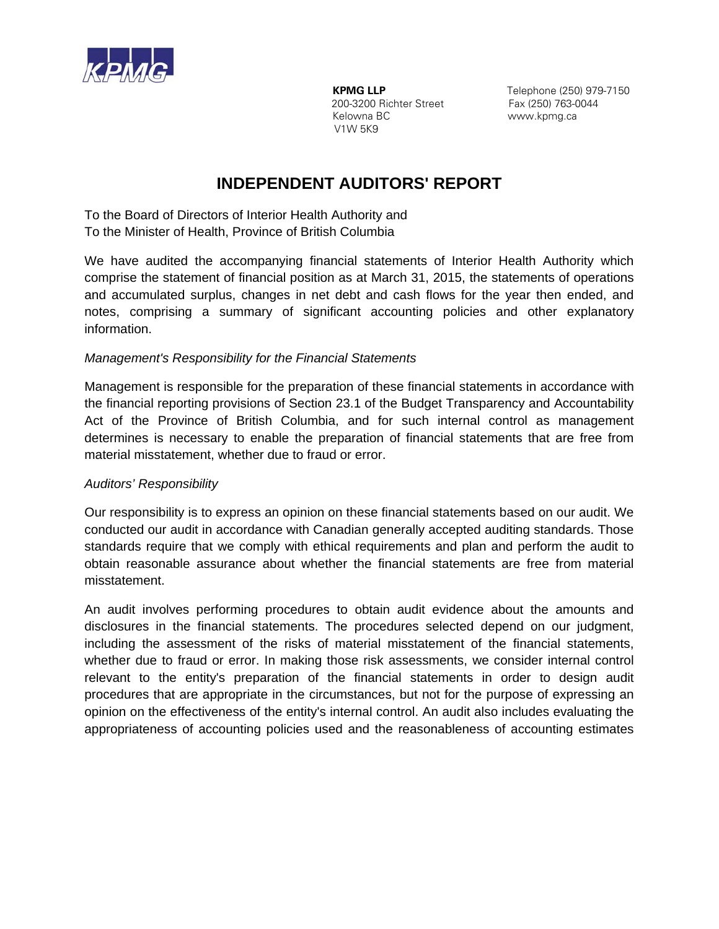

 **KPMG LLP** Telephone (250) 979-7150 **200-3200 Richter Street** Fax (250) 763-0044<br>
Kelowna BC **Face Communist Communist Communist Communist Communist Communist Communist Communist Communist Communist Communist Communist Communist Communist Communist Communist** V1W 5K9

www.kpmg.ca

# **INDEPENDENT AUDITORS' REPORT**

To the Board of Directors of Interior Health Authority and To the Minister of Health, Province of British Columbia

We have audited the accompanying financial statements of Interior Health Authority which comprise the statement of financial position as at March 31, 2015, the statements of operations and accumulated surplus, changes in net debt and cash flows for the year then ended, and notes, comprising a summary of significant accounting policies and other explanatory information.

### *Management's Responsibility for the Financial Statements*

Management is responsible for the preparation of these financial statements in accordance with the financial reporting provisions of Section 23.1 of the Budget Transparency and Accountability Act of the Province of British Columbia, and for such internal control as management determines is necessary to enable the preparation of financial statements that are free from material misstatement, whether due to fraud or error.

### *Auditors' Responsibility*

Our responsibility is to express an opinion on these financial statements based on our audit. We conducted our audit in accordance with Canadian generally accepted auditing standards. Those standards require that we comply with ethical requirements and plan and perform the audit to obtain reasonable assurance about whether the financial statements are free from material misstatement.

An audit involves performing procedures to obtain audit evidence about the amounts and disclosures in the financial statements. The procedures selected depend on our judgment, including the assessment of the risks of material misstatement of the financial statements, whether due to fraud or error. In making those risk assessments, we consider internal control relevant to the entity's preparation of the financial statements in order to design audit procedures that are appropriate in the circumstances, but not for the purpose of expressing an opinion on the effectiveness of the entity's internal control. An audit also includes evaluating the appropriateness of accounting policies used and the reasonableness of accounting estimates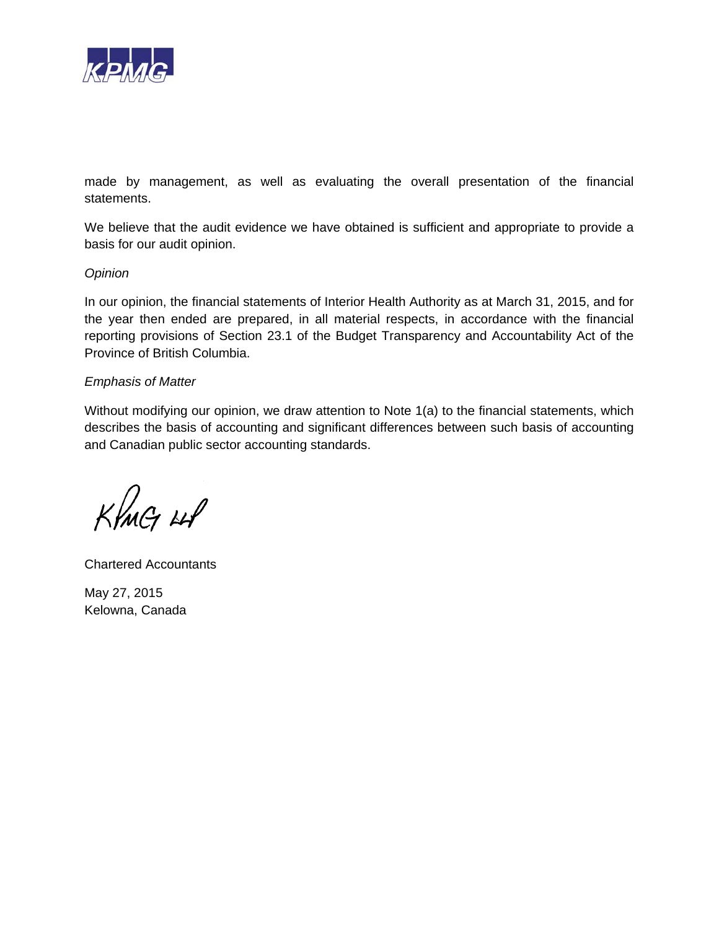

made by management, as well as evaluating the overall presentation of the financial statements.

We believe that the audit evidence we have obtained is sufficient and appropriate to provide a basis for our audit opinion.

#### *Opinion*

In our opinion, the financial statements of Interior Health Authority as at March 31, 2015, and for the year then ended are prepared, in all material respects, in accordance with the financial reporting provisions of Section 23.1 of the Budget Transparency and Accountability Act of the Province of British Columbia.

#### *Emphasis of Matter*

Without modifying our opinion, we draw attention to Note 1(a) to the financial statements, which describes the basis of accounting and significant differences between such basis of accounting and Canadian public sector accounting standards.

KIMG 48

Chartered Accountants

May 27, 2015 Kelowna, Canada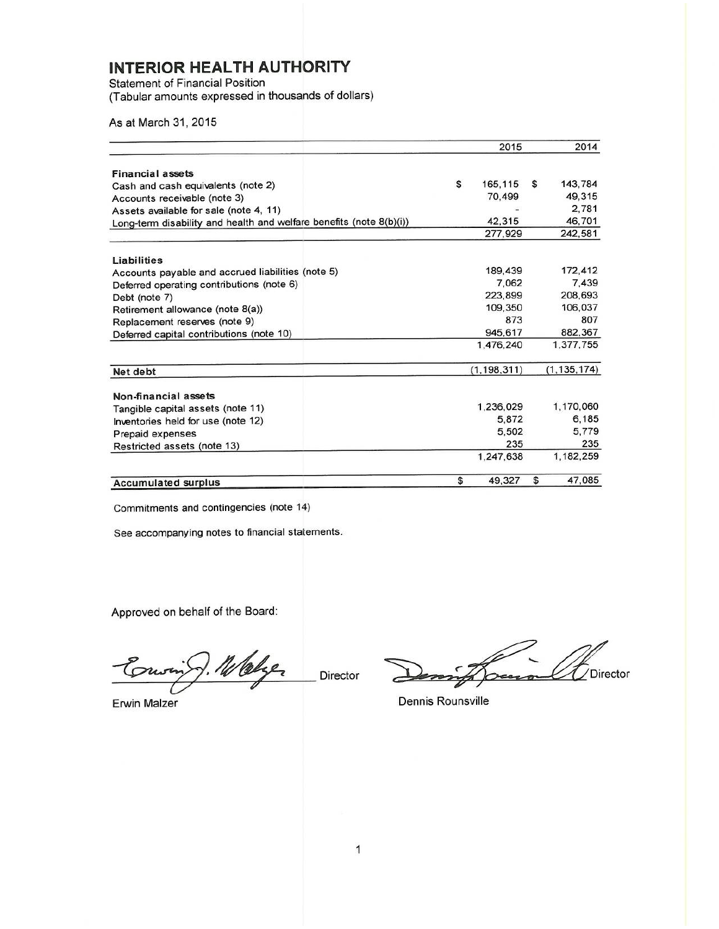**Statement of Financial Position** 

(Tabular amounts expressed in thousands of dollars)

As at March 31, 2015

|                                                                     | 2015          |    | 2014          |
|---------------------------------------------------------------------|---------------|----|---------------|
|                                                                     |               |    |               |
| <b>Financial assets</b>                                             |               |    |               |
| Cash and cash equivalents (note 2)                                  | \$<br>165,115 | S  | 143,784       |
| Accounts receivable (note 3)                                        | 70,499        |    | 49.315        |
| Assets available for sale (note 4, 11)                              |               |    | 2,781         |
| Long-term disability and health and welfare benefits (note 8(b)(i)) | 42,315        |    | 46,701        |
|                                                                     | 277,929       |    | 242,581       |
| Liabilities                                                         |               |    |               |
| Accounts payable and accrued liabilities (note 5)                   | 189,439       |    | 172,412       |
| Deferred operating contributions (note 6)                           | 7.062         |    | 7.439         |
| Debt (note 7)                                                       | 223.899       |    | 208,693       |
| Retirement allowance (note 8(a))                                    | 109,350       |    | 106,037       |
| Replacement reserves (note 9)                                       | 873           |    | 807           |
| Deferred capital contributions (note 10)                            | 945.617       |    | 882.367       |
|                                                                     | 1,476,240     |    | 1,377,755     |
| Net debt                                                            | (1, 198, 311) |    | (1, 135, 174) |
| Non-financial assets                                                |               |    |               |
| Tangible capital assets (note 11)                                   | 1,236,029     |    | 1,170,060     |
| Inventories held for use (note 12)                                  | 5.872         |    | 6,185         |
| Prepaid expenses                                                    | 5.502         |    | 5,779         |
| Restricted assets (note 13)                                         | 235           |    | 235           |
|                                                                     | 1,247,638     |    | 1,182,259     |
| <b>Accumulated surplus</b>                                          | \$<br>49,327  | \$ | 47,085        |

Commitments and contingencies (note 14)

See accompanying notes to financial statements.

Approved on behalf of the Board:

7. 16 blger Ton

**Erwin Malzer** 

Director

 $\sqrt{}$ Director  $2$ ee

Dennis Rounsville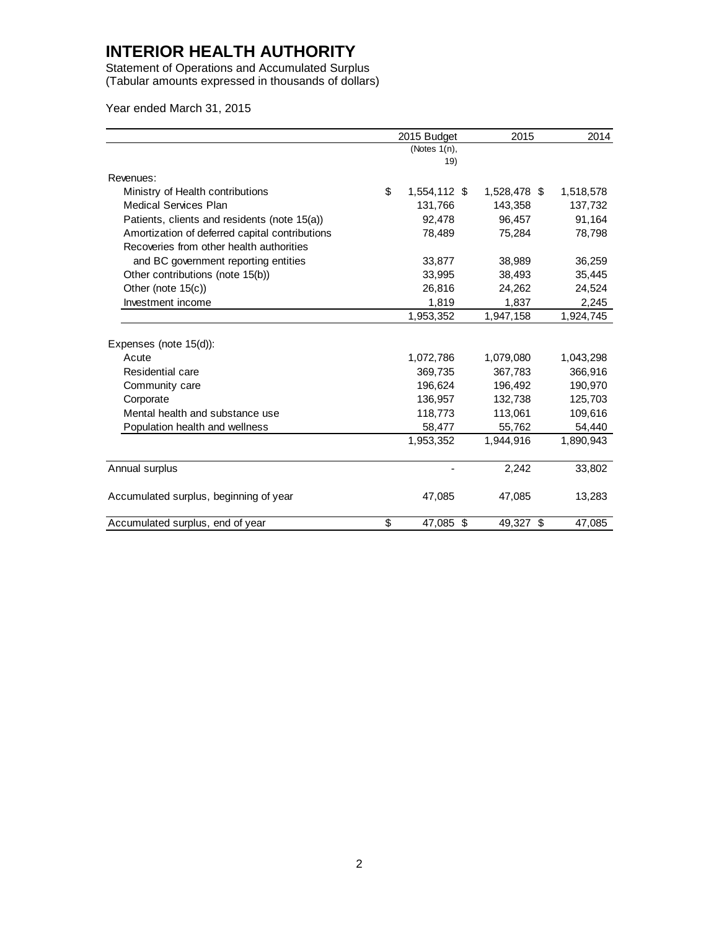Statement of Operations and Accumulated Surplus (Tabular amounts expressed in thousands of dollars)

Year ended March 31, 2015

|                                                | 2015 Budget        | 2015         | 2014      |
|------------------------------------------------|--------------------|--------------|-----------|
|                                                | (Notes $1(n)$ ,    |              |           |
|                                                | 19)                |              |           |
| Revenues:                                      |                    |              |           |
| Ministry of Health contributions               | \$<br>1,554,112 \$ | 1,528,478 \$ | 1,518,578 |
| <b>Medical Services Plan</b>                   | 131,766            | 143,358      | 137,732   |
| Patients, clients and residents (note 15(a))   | 92,478             | 96,457       | 91,164    |
| Amortization of deferred capital contributions | 78,489             | 75,284       | 78,798    |
| Recoveries from other health authorities       |                    |              |           |
| and BC government reporting entities           | 33,877             | 38,989       | 36,259    |
| Other contributions (note 15(b))               | 33,995             | 38,493       | 35,445    |
| Other (note 15(c))                             | 26,816             | 24,262       | 24,524    |
| Investment income                              | 1,819              | 1,837        | 2,245     |
|                                                | 1,953,352          | 1,947,158    | 1,924,745 |
| Expenses (note 15(d)):                         |                    |              |           |
| Acute                                          | 1,072,786          | 1,079,080    | 1,043,298 |
| Residential care                               | 369,735            | 367,783      | 366,916   |
| Community care                                 | 196,624            | 196,492      | 190,970   |
| Corporate                                      | 136,957            | 132,738      | 125,703   |
| Mental health and substance use                | 118.773            | 113.061      | 109,616   |
| Population health and wellness                 | 58,477             | 55,762       | 54,440    |
|                                                | 1,953,352          | 1,944,916    | 1,890,943 |
| Annual surplus                                 |                    | 2,242        | 33,802    |
| Accumulated surplus, beginning of year         | 47,085             | 47,085       | 13,283    |
| Accumulated surplus, end of year               | \$<br>47,085 \$    | 49,327 \$    | 47.085    |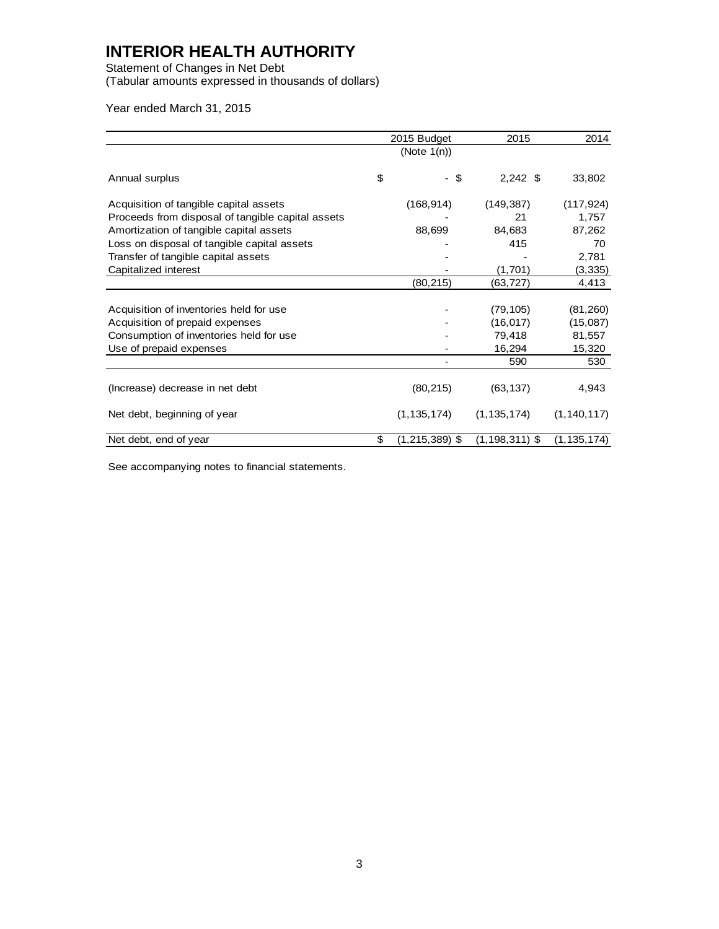Statement of Changes in Net Debt (Tabular amounts expressed in thousands of dollars)

Year ended March 31, 2015

|                                                   | 2015 Budget                | 2015               | 2014          |
|---------------------------------------------------|----------------------------|--------------------|---------------|
|                                                   | (Note $1(n)$ )             |                    |               |
| Annual surplus                                    | \$<br>\$<br>$\blacksquare$ | $2,242$ \$         | 33,802        |
| Acquisition of tangible capital assets            | (168, 914)                 | (149, 387)         | (117, 924)    |
| Proceeds from disposal of tangible capital assets |                            | 21                 | 1,757         |
| Amortization of tangible capital assets           | 88,699                     | 84,683             | 87,262        |
| Loss on disposal of tangible capital assets       |                            | 415                | 70            |
| Transfer of tangible capital assets               |                            |                    | 2,781         |
| Capitalized interest                              |                            | (1,701)            | (3, 335)      |
|                                                   | (80,215)                   | (63,727)           | 4,413         |
| Acquisition of inventories held for use           |                            | (79, 105)          | (81, 260)     |
| Acquisition of prepaid expenses                   |                            | (16, 017)          | (15,087)      |
| Consumption of inventories held for use           |                            | 79,418             | 81,557        |
| Use of prepaid expenses                           |                            | 16,294             | 15,320        |
|                                                   |                            | 590                | 530           |
| (Increase) decrease in net debt                   | (80, 215)                  | (63, 137)          | 4,943         |
| Net debt, beginning of year                       | (1, 135, 174)              | (1, 135, 174)      | (1, 140, 117) |
| Net debt, end of year                             | \$<br>$(1,215,389)$ \$     | $(1, 198, 311)$ \$ | (1, 135, 174) |

See accompanying notes to financial statements.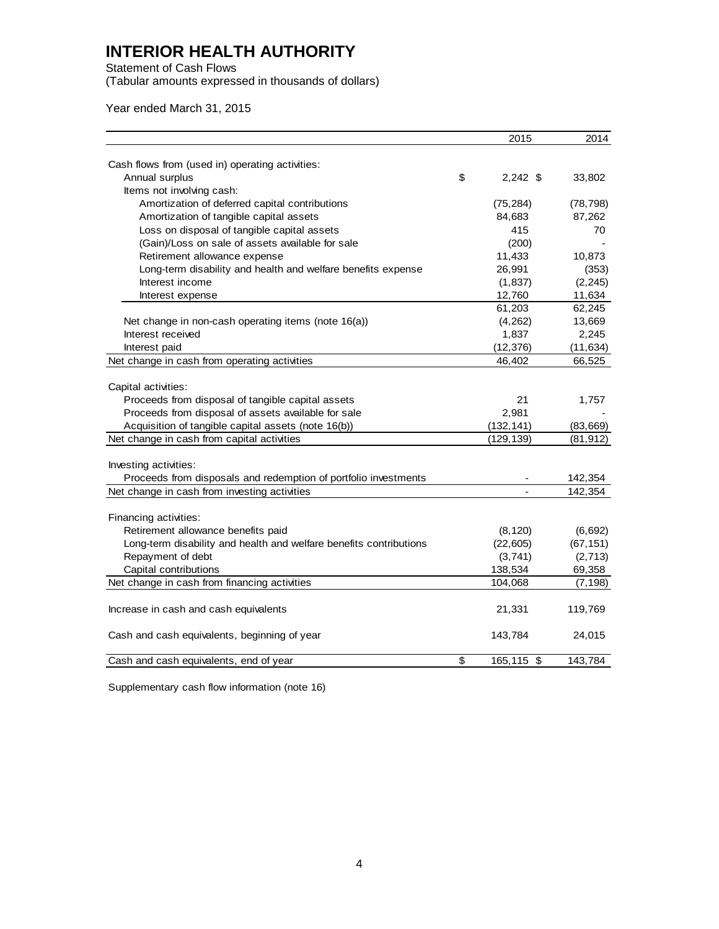Statement of Cash Flows

(Tabular amounts expressed in thousands of dollars)

Year ended March 31, 2015

| Cash flows from (used in) operating activities:<br>\$<br>Annual surplus<br>$2,242$ \$<br>33,802<br>Items not involving cash:<br>Amortization of deferred capital contributions<br>(75, 284)<br>(78, 798)<br>Amortization of tangible capital assets<br>84,683<br>87,262<br>Loss on disposal of tangible capital assets<br>415<br>70<br>(Gain)/Loss on sale of assets available for sale<br>(200)<br>Retirement allowance expense<br>11,433<br>10,873<br>Long-term disability and health and welfare benefits expense<br>26,991<br>(353)<br>Interest income<br>(2, 245)<br>(1,837)<br>12,760<br>11,634<br>Interest expense<br>62,245<br>61,203<br>Net change in non-cash operating items (note 16(a))<br>13,669<br>(4,262)<br>Interest received<br>1,837<br>2,245<br>(12, 376)<br>(11, 634)<br>Interest paid<br>Net change in cash from operating activities<br>46,402<br>66,525<br>Capital activities:<br>Proceeds from disposal of tangible capital assets<br>21<br>1,757<br>Proceeds from disposal of assets available for sale<br>2,981<br>Acquisition of tangible capital assets (note 16(b))<br>(132, 141)<br>(83, 669)<br>Net change in cash from capital activities<br>(129, 139)<br>(81, 912)<br>Investing activities:<br>Proceeds from disposals and redemption of portfolio investments<br>142,354<br>Net change in cash from investing activities<br>142,354<br>Financing activities:<br>Retirement allowance benefits paid<br>(8, 120)<br>(6, 692)<br>Long-term disability and health and welfare benefits contributions<br>(67, 151)<br>(22, 605)<br>Repayment of debt<br>(3,741)<br>(2, 713)<br>Capital contributions<br>138,534<br>69,358<br>Net change in cash from financing activities<br>104,068<br>(7, 198)<br>Increase in cash and cash equivalents<br>21,331<br>119,769<br>Cash and cash equivalents, beginning of year<br>143,784<br>24,015<br>\$<br>Cash and cash equivalents, end of year<br>165,115 \$<br>143,784 |  | 2015 | 2014 |
|---------------------------------------------------------------------------------------------------------------------------------------------------------------------------------------------------------------------------------------------------------------------------------------------------------------------------------------------------------------------------------------------------------------------------------------------------------------------------------------------------------------------------------------------------------------------------------------------------------------------------------------------------------------------------------------------------------------------------------------------------------------------------------------------------------------------------------------------------------------------------------------------------------------------------------------------------------------------------------------------------------------------------------------------------------------------------------------------------------------------------------------------------------------------------------------------------------------------------------------------------------------------------------------------------------------------------------------------------------------------------------------------------------------------------------------------------------------------------------------------------------------------------------------------------------------------------------------------------------------------------------------------------------------------------------------------------------------------------------------------------------------------------------------------------------------------------------------------------------------------------------------------------------------------------------------------|--|------|------|
|                                                                                                                                                                                                                                                                                                                                                                                                                                                                                                                                                                                                                                                                                                                                                                                                                                                                                                                                                                                                                                                                                                                                                                                                                                                                                                                                                                                                                                                                                                                                                                                                                                                                                                                                                                                                                                                                                                                                             |  |      |      |
|                                                                                                                                                                                                                                                                                                                                                                                                                                                                                                                                                                                                                                                                                                                                                                                                                                                                                                                                                                                                                                                                                                                                                                                                                                                                                                                                                                                                                                                                                                                                                                                                                                                                                                                                                                                                                                                                                                                                             |  |      |      |
|                                                                                                                                                                                                                                                                                                                                                                                                                                                                                                                                                                                                                                                                                                                                                                                                                                                                                                                                                                                                                                                                                                                                                                                                                                                                                                                                                                                                                                                                                                                                                                                                                                                                                                                                                                                                                                                                                                                                             |  |      |      |
|                                                                                                                                                                                                                                                                                                                                                                                                                                                                                                                                                                                                                                                                                                                                                                                                                                                                                                                                                                                                                                                                                                                                                                                                                                                                                                                                                                                                                                                                                                                                                                                                                                                                                                                                                                                                                                                                                                                                             |  |      |      |
|                                                                                                                                                                                                                                                                                                                                                                                                                                                                                                                                                                                                                                                                                                                                                                                                                                                                                                                                                                                                                                                                                                                                                                                                                                                                                                                                                                                                                                                                                                                                                                                                                                                                                                                                                                                                                                                                                                                                             |  |      |      |
|                                                                                                                                                                                                                                                                                                                                                                                                                                                                                                                                                                                                                                                                                                                                                                                                                                                                                                                                                                                                                                                                                                                                                                                                                                                                                                                                                                                                                                                                                                                                                                                                                                                                                                                                                                                                                                                                                                                                             |  |      |      |
|                                                                                                                                                                                                                                                                                                                                                                                                                                                                                                                                                                                                                                                                                                                                                                                                                                                                                                                                                                                                                                                                                                                                                                                                                                                                                                                                                                                                                                                                                                                                                                                                                                                                                                                                                                                                                                                                                                                                             |  |      |      |
|                                                                                                                                                                                                                                                                                                                                                                                                                                                                                                                                                                                                                                                                                                                                                                                                                                                                                                                                                                                                                                                                                                                                                                                                                                                                                                                                                                                                                                                                                                                                                                                                                                                                                                                                                                                                                                                                                                                                             |  |      |      |
|                                                                                                                                                                                                                                                                                                                                                                                                                                                                                                                                                                                                                                                                                                                                                                                                                                                                                                                                                                                                                                                                                                                                                                                                                                                                                                                                                                                                                                                                                                                                                                                                                                                                                                                                                                                                                                                                                                                                             |  |      |      |
|                                                                                                                                                                                                                                                                                                                                                                                                                                                                                                                                                                                                                                                                                                                                                                                                                                                                                                                                                                                                                                                                                                                                                                                                                                                                                                                                                                                                                                                                                                                                                                                                                                                                                                                                                                                                                                                                                                                                             |  |      |      |
|                                                                                                                                                                                                                                                                                                                                                                                                                                                                                                                                                                                                                                                                                                                                                                                                                                                                                                                                                                                                                                                                                                                                                                                                                                                                                                                                                                                                                                                                                                                                                                                                                                                                                                                                                                                                                                                                                                                                             |  |      |      |
|                                                                                                                                                                                                                                                                                                                                                                                                                                                                                                                                                                                                                                                                                                                                                                                                                                                                                                                                                                                                                                                                                                                                                                                                                                                                                                                                                                                                                                                                                                                                                                                                                                                                                                                                                                                                                                                                                                                                             |  |      |      |
|                                                                                                                                                                                                                                                                                                                                                                                                                                                                                                                                                                                                                                                                                                                                                                                                                                                                                                                                                                                                                                                                                                                                                                                                                                                                                                                                                                                                                                                                                                                                                                                                                                                                                                                                                                                                                                                                                                                                             |  |      |      |
|                                                                                                                                                                                                                                                                                                                                                                                                                                                                                                                                                                                                                                                                                                                                                                                                                                                                                                                                                                                                                                                                                                                                                                                                                                                                                                                                                                                                                                                                                                                                                                                                                                                                                                                                                                                                                                                                                                                                             |  |      |      |
|                                                                                                                                                                                                                                                                                                                                                                                                                                                                                                                                                                                                                                                                                                                                                                                                                                                                                                                                                                                                                                                                                                                                                                                                                                                                                                                                                                                                                                                                                                                                                                                                                                                                                                                                                                                                                                                                                                                                             |  |      |      |
|                                                                                                                                                                                                                                                                                                                                                                                                                                                                                                                                                                                                                                                                                                                                                                                                                                                                                                                                                                                                                                                                                                                                                                                                                                                                                                                                                                                                                                                                                                                                                                                                                                                                                                                                                                                                                                                                                                                                             |  |      |      |
|                                                                                                                                                                                                                                                                                                                                                                                                                                                                                                                                                                                                                                                                                                                                                                                                                                                                                                                                                                                                                                                                                                                                                                                                                                                                                                                                                                                                                                                                                                                                                                                                                                                                                                                                                                                                                                                                                                                                             |  |      |      |
|                                                                                                                                                                                                                                                                                                                                                                                                                                                                                                                                                                                                                                                                                                                                                                                                                                                                                                                                                                                                                                                                                                                                                                                                                                                                                                                                                                                                                                                                                                                                                                                                                                                                                                                                                                                                                                                                                                                                             |  |      |      |
|                                                                                                                                                                                                                                                                                                                                                                                                                                                                                                                                                                                                                                                                                                                                                                                                                                                                                                                                                                                                                                                                                                                                                                                                                                                                                                                                                                                                                                                                                                                                                                                                                                                                                                                                                                                                                                                                                                                                             |  |      |      |
|                                                                                                                                                                                                                                                                                                                                                                                                                                                                                                                                                                                                                                                                                                                                                                                                                                                                                                                                                                                                                                                                                                                                                                                                                                                                                                                                                                                                                                                                                                                                                                                                                                                                                                                                                                                                                                                                                                                                             |  |      |      |
|                                                                                                                                                                                                                                                                                                                                                                                                                                                                                                                                                                                                                                                                                                                                                                                                                                                                                                                                                                                                                                                                                                                                                                                                                                                                                                                                                                                                                                                                                                                                                                                                                                                                                                                                                                                                                                                                                                                                             |  |      |      |
|                                                                                                                                                                                                                                                                                                                                                                                                                                                                                                                                                                                                                                                                                                                                                                                                                                                                                                                                                                                                                                                                                                                                                                                                                                                                                                                                                                                                                                                                                                                                                                                                                                                                                                                                                                                                                                                                                                                                             |  |      |      |
|                                                                                                                                                                                                                                                                                                                                                                                                                                                                                                                                                                                                                                                                                                                                                                                                                                                                                                                                                                                                                                                                                                                                                                                                                                                                                                                                                                                                                                                                                                                                                                                                                                                                                                                                                                                                                                                                                                                                             |  |      |      |
|                                                                                                                                                                                                                                                                                                                                                                                                                                                                                                                                                                                                                                                                                                                                                                                                                                                                                                                                                                                                                                                                                                                                                                                                                                                                                                                                                                                                                                                                                                                                                                                                                                                                                                                                                                                                                                                                                                                                             |  |      |      |
|                                                                                                                                                                                                                                                                                                                                                                                                                                                                                                                                                                                                                                                                                                                                                                                                                                                                                                                                                                                                                                                                                                                                                                                                                                                                                                                                                                                                                                                                                                                                                                                                                                                                                                                                                                                                                                                                                                                                             |  |      |      |
|                                                                                                                                                                                                                                                                                                                                                                                                                                                                                                                                                                                                                                                                                                                                                                                                                                                                                                                                                                                                                                                                                                                                                                                                                                                                                                                                                                                                                                                                                                                                                                                                                                                                                                                                                                                                                                                                                                                                             |  |      |      |
|                                                                                                                                                                                                                                                                                                                                                                                                                                                                                                                                                                                                                                                                                                                                                                                                                                                                                                                                                                                                                                                                                                                                                                                                                                                                                                                                                                                                                                                                                                                                                                                                                                                                                                                                                                                                                                                                                                                                             |  |      |      |
|                                                                                                                                                                                                                                                                                                                                                                                                                                                                                                                                                                                                                                                                                                                                                                                                                                                                                                                                                                                                                                                                                                                                                                                                                                                                                                                                                                                                                                                                                                                                                                                                                                                                                                                                                                                                                                                                                                                                             |  |      |      |
|                                                                                                                                                                                                                                                                                                                                                                                                                                                                                                                                                                                                                                                                                                                                                                                                                                                                                                                                                                                                                                                                                                                                                                                                                                                                                                                                                                                                                                                                                                                                                                                                                                                                                                                                                                                                                                                                                                                                             |  |      |      |
|                                                                                                                                                                                                                                                                                                                                                                                                                                                                                                                                                                                                                                                                                                                                                                                                                                                                                                                                                                                                                                                                                                                                                                                                                                                                                                                                                                                                                                                                                                                                                                                                                                                                                                                                                                                                                                                                                                                                             |  |      |      |
|                                                                                                                                                                                                                                                                                                                                                                                                                                                                                                                                                                                                                                                                                                                                                                                                                                                                                                                                                                                                                                                                                                                                                                                                                                                                                                                                                                                                                                                                                                                                                                                                                                                                                                                                                                                                                                                                                                                                             |  |      |      |
|                                                                                                                                                                                                                                                                                                                                                                                                                                                                                                                                                                                                                                                                                                                                                                                                                                                                                                                                                                                                                                                                                                                                                                                                                                                                                                                                                                                                                                                                                                                                                                                                                                                                                                                                                                                                                                                                                                                                             |  |      |      |
|                                                                                                                                                                                                                                                                                                                                                                                                                                                                                                                                                                                                                                                                                                                                                                                                                                                                                                                                                                                                                                                                                                                                                                                                                                                                                                                                                                                                                                                                                                                                                                                                                                                                                                                                                                                                                                                                                                                                             |  |      |      |
|                                                                                                                                                                                                                                                                                                                                                                                                                                                                                                                                                                                                                                                                                                                                                                                                                                                                                                                                                                                                                                                                                                                                                                                                                                                                                                                                                                                                                                                                                                                                                                                                                                                                                                                                                                                                                                                                                                                                             |  |      |      |
|                                                                                                                                                                                                                                                                                                                                                                                                                                                                                                                                                                                                                                                                                                                                                                                                                                                                                                                                                                                                                                                                                                                                                                                                                                                                                                                                                                                                                                                                                                                                                                                                                                                                                                                                                                                                                                                                                                                                             |  |      |      |
|                                                                                                                                                                                                                                                                                                                                                                                                                                                                                                                                                                                                                                                                                                                                                                                                                                                                                                                                                                                                                                                                                                                                                                                                                                                                                                                                                                                                                                                                                                                                                                                                                                                                                                                                                                                                                                                                                                                                             |  |      |      |
|                                                                                                                                                                                                                                                                                                                                                                                                                                                                                                                                                                                                                                                                                                                                                                                                                                                                                                                                                                                                                                                                                                                                                                                                                                                                                                                                                                                                                                                                                                                                                                                                                                                                                                                                                                                                                                                                                                                                             |  |      |      |

Supplementary cash flow information (note 16)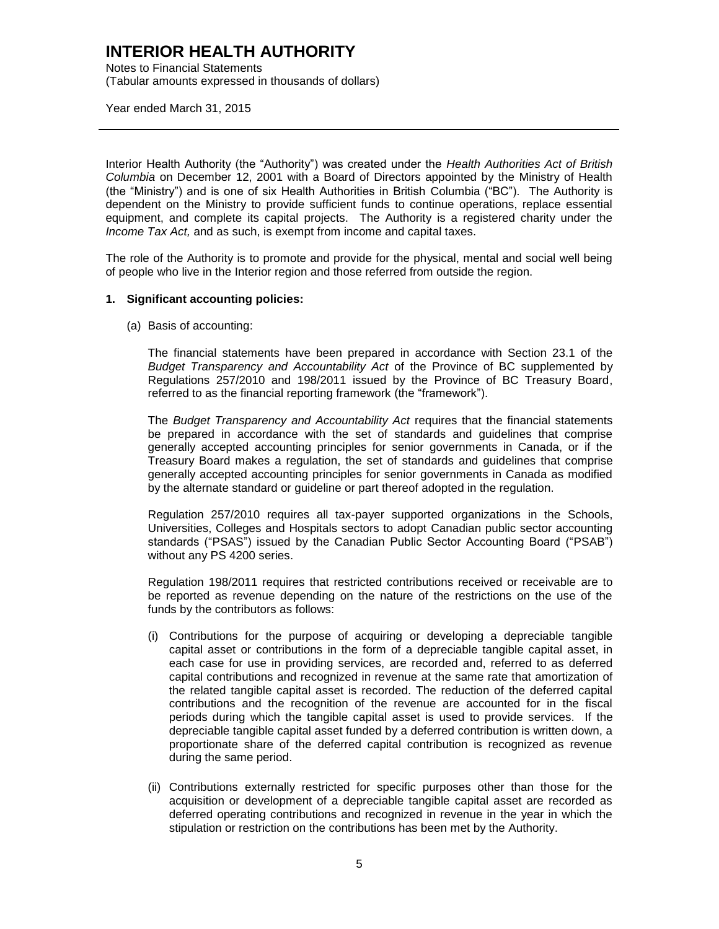Notes to Financial Statements (Tabular amounts expressed in thousands of dollars)

Year ended March 31, 2015

Interior Health Authority (the "Authority") was created under the *Health Authorities Act of British Columbia* on December 12, 2001 with a Board of Directors appointed by the Ministry of Health (the "Ministry") and is one of six Health Authorities in British Columbia ("BC"). The Authority is dependent on the Ministry to provide sufficient funds to continue operations, replace essential equipment, and complete its capital projects. The Authority is a registered charity under the *Income Tax Act,* and as such, is exempt from income and capital taxes.

The role of the Authority is to promote and provide for the physical, mental and social well being of people who live in the Interior region and those referred from outside the region.

#### **1. Significant accounting policies:**

(a) Basis of accounting:

The financial statements have been prepared in accordance with Section 23.1 of the *Budget Transparency and Accountability Act* of the Province of BC supplemented by Regulations 257/2010 and 198/2011 issued by the Province of BC Treasury Board, referred to as the financial reporting framework (the "framework").

The *Budget Transparency and Accountability Act* requires that the financial statements be prepared in accordance with the set of standards and guidelines that comprise generally accepted accounting principles for senior governments in Canada, or if the Treasury Board makes a regulation, the set of standards and guidelines that comprise generally accepted accounting principles for senior governments in Canada as modified by the alternate standard or guideline or part thereof adopted in the regulation.

Regulation 257/2010 requires all tax-payer supported organizations in the Schools, Universities, Colleges and Hospitals sectors to adopt Canadian public sector accounting standards ("PSAS") issued by the Canadian Public Sector Accounting Board ("PSAB") without any PS 4200 series.

Regulation 198/2011 requires that restricted contributions received or receivable are to be reported as revenue depending on the nature of the restrictions on the use of the funds by the contributors as follows:

- (i) Contributions for the purpose of acquiring or developing a depreciable tangible capital asset or contributions in the form of a depreciable tangible capital asset, in each case for use in providing services, are recorded and, referred to as deferred capital contributions and recognized in revenue at the same rate that amortization of the related tangible capital asset is recorded. The reduction of the deferred capital contributions and the recognition of the revenue are accounted for in the fiscal periods during which the tangible capital asset is used to provide services. If the depreciable tangible capital asset funded by a deferred contribution is written down, a proportionate share of the deferred capital contribution is recognized as revenue during the same period.
- (ii) Contributions externally restricted for specific purposes other than those for the acquisition or development of a depreciable tangible capital asset are recorded as deferred operating contributions and recognized in revenue in the year in which the stipulation or restriction on the contributions has been met by the Authority.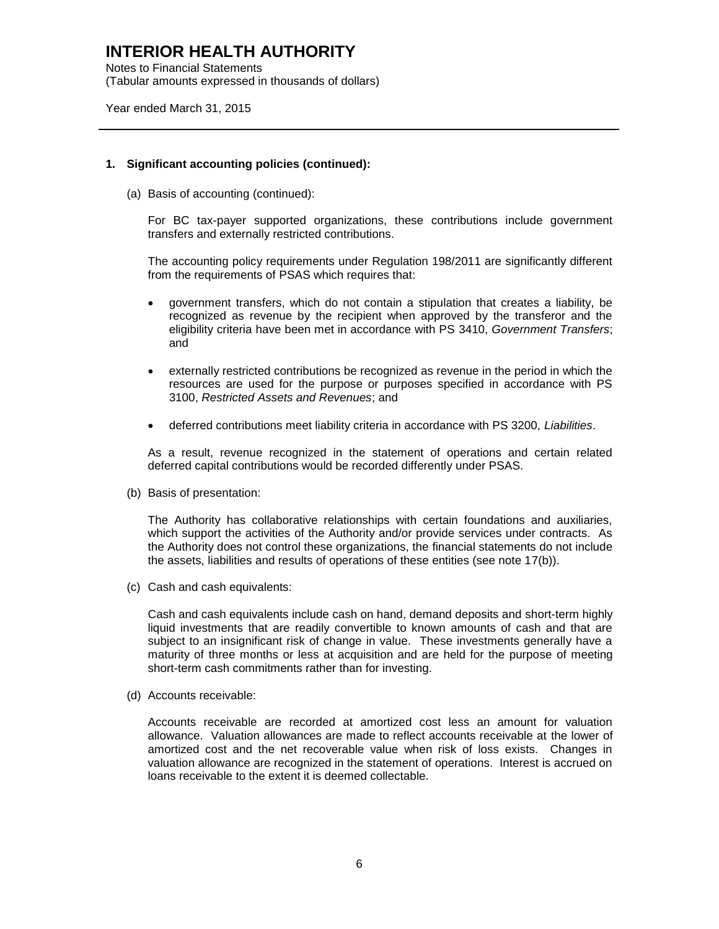Notes to Financial Statements (Tabular amounts expressed in thousands of dollars)

Year ended March 31, 2015

#### **1. Significant accounting policies (continued):**

(a) Basis of accounting (continued):

For BC tax-payer supported organizations, these contributions include government transfers and externally restricted contributions.

The accounting policy requirements under Regulation 198/2011 are significantly different from the requirements of PSAS which requires that:

- government transfers, which do not contain a stipulation that creates a liability, be recognized as revenue by the recipient when approved by the transferor and the eligibility criteria have been met in accordance with PS 3410, *Government Transfers*; and
- externally restricted contributions be recognized as revenue in the period in which the resources are used for the purpose or purposes specified in accordance with PS 3100, *Restricted Assets and Revenues*; and
- deferred contributions meet liability criteria in accordance with PS 3200, *Liabilities*.

As a result, revenue recognized in the statement of operations and certain related deferred capital contributions would be recorded differently under PSAS.

(b) Basis of presentation:

The Authority has collaborative relationships with certain foundations and auxiliaries, which support the activities of the Authority and/or provide services under contracts. As the Authority does not control these organizations, the financial statements do not include the assets, liabilities and results of operations of these entities (see note 17(b)).

(c) Cash and cash equivalents:

Cash and cash equivalents include cash on hand, demand deposits and short-term highly liquid investments that are readily convertible to known amounts of cash and that are subject to an insignificant risk of change in value. These investments generally have a maturity of three months or less at acquisition and are held for the purpose of meeting short-term cash commitments rather than for investing.

(d) Accounts receivable:

Accounts receivable are recorded at amortized cost less an amount for valuation allowance. Valuation allowances are made to reflect accounts receivable at the lower of amortized cost and the net recoverable value when risk of loss exists. Changes in valuation allowance are recognized in the statement of operations. Interest is accrued on loans receivable to the extent it is deemed collectable.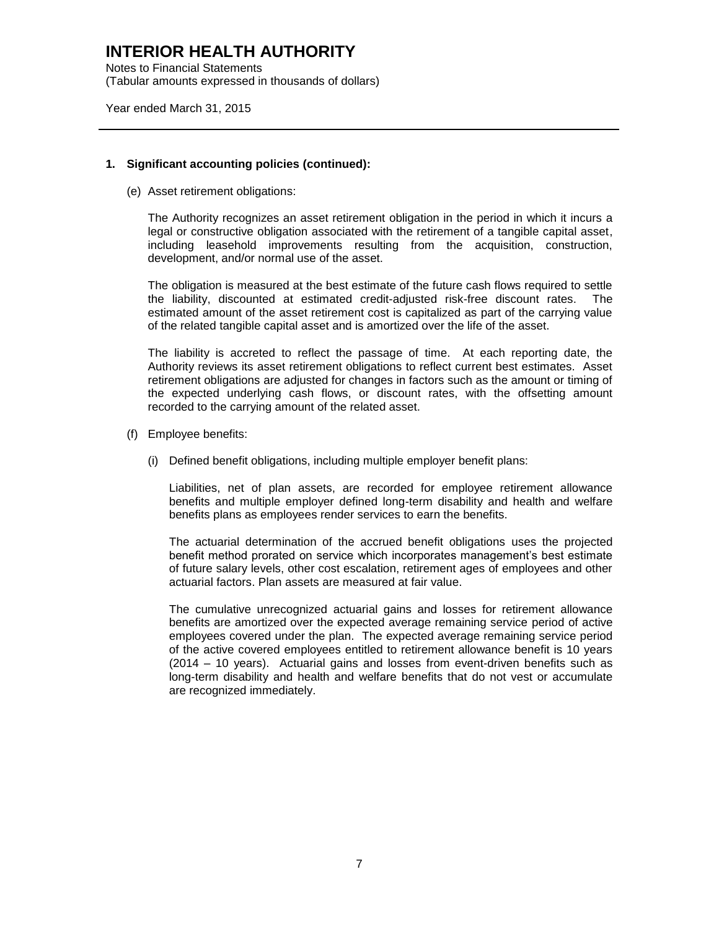Notes to Financial Statements (Tabular amounts expressed in thousands of dollars)

Year ended March 31, 2015

#### **1. Significant accounting policies (continued):**

(e) Asset retirement obligations:

The Authority recognizes an asset retirement obligation in the period in which it incurs a legal or constructive obligation associated with the retirement of a tangible capital asset, including leasehold improvements resulting from the acquisition, construction, development, and/or normal use of the asset.

The obligation is measured at the best estimate of the future cash flows required to settle the liability, discounted at estimated credit-adjusted risk-free discount rates. The estimated amount of the asset retirement cost is capitalized as part of the carrying value of the related tangible capital asset and is amortized over the life of the asset.

The liability is accreted to reflect the passage of time. At each reporting date, the Authority reviews its asset retirement obligations to reflect current best estimates. Asset retirement obligations are adjusted for changes in factors such as the amount or timing of the expected underlying cash flows, or discount rates, with the offsetting amount recorded to the carrying amount of the related asset.

- (f) Employee benefits:
	- (i) Defined benefit obligations, including multiple employer benefit plans:

Liabilities, net of plan assets, are recorded for employee retirement allowance benefits and multiple employer defined long-term disability and health and welfare benefits plans as employees render services to earn the benefits.

The actuarial determination of the accrued benefit obligations uses the projected benefit method prorated on service which incorporates management's best estimate of future salary levels, other cost escalation, retirement ages of employees and other actuarial factors. Plan assets are measured at fair value.

The cumulative unrecognized actuarial gains and losses for retirement allowance benefits are amortized over the expected average remaining service period of active employees covered under the plan. The expected average remaining service period of the active covered employees entitled to retirement allowance benefit is 10 years (2014 – 10 years). Actuarial gains and losses from event-driven benefits such as long-term disability and health and welfare benefits that do not vest or accumulate are recognized immediately.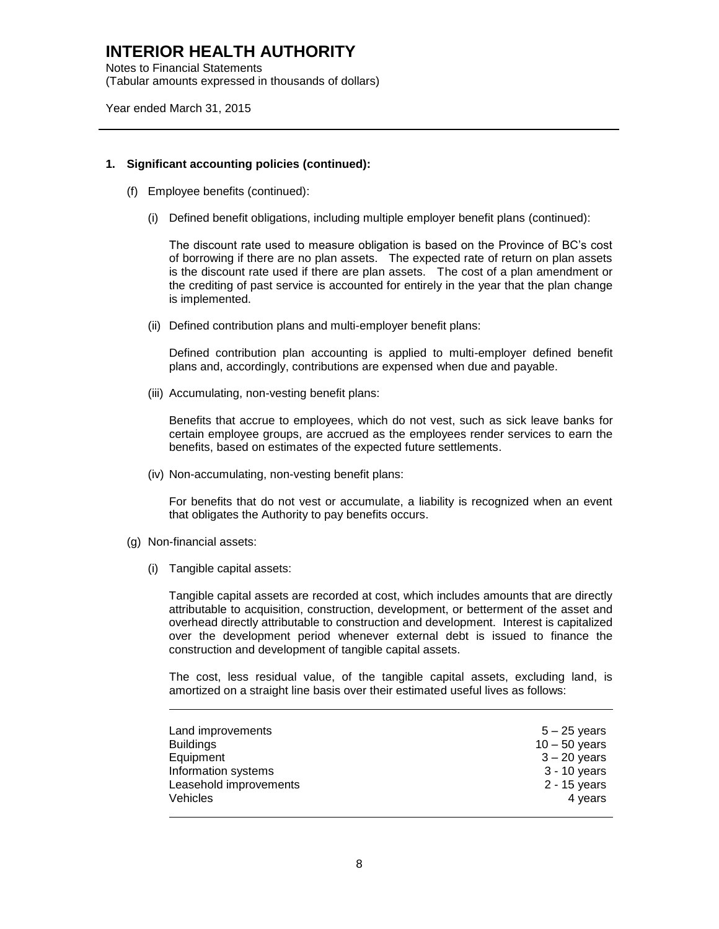Notes to Financial Statements (Tabular amounts expressed in thousands of dollars)

Year ended March 31, 2015

#### **1. Significant accounting policies (continued):**

- (f) Employee benefits (continued):
	- (i) Defined benefit obligations, including multiple employer benefit plans (continued):

The discount rate used to measure obligation is based on the Province of BC's cost of borrowing if there are no plan assets. The expected rate of return on plan assets is the discount rate used if there are plan assets. The cost of a plan amendment or the crediting of past service is accounted for entirely in the year that the plan change is implemented.

(ii) Defined contribution plans and multi-employer benefit plans:

Defined contribution plan accounting is applied to multi-employer defined benefit plans and, accordingly, contributions are expensed when due and payable.

(iii) Accumulating, non-vesting benefit plans:

Benefits that accrue to employees, which do not vest, such as sick leave banks for certain employee groups, are accrued as the employees render services to earn the benefits, based on estimates of the expected future settlements.

(iv) Non-accumulating, non-vesting benefit plans:

For benefits that do not vest or accumulate, a liability is recognized when an event that obligates the Authority to pay benefits occurs.

- (g) Non-financial assets:
	- (i) Tangible capital assets:

Tangible capital assets are recorded at cost, which includes amounts that are directly attributable to acquisition, construction, development, or betterment of the asset and overhead directly attributable to construction and development. Interest is capitalized over the development period whenever external debt is issued to finance the construction and development of tangible capital assets.

The cost, less residual value, of the tangible capital assets, excluding land, is amortized on a straight line basis over their estimated useful lives as follows:

| Land improvements      | $5 - 25$ years  |
|------------------------|-----------------|
| <b>Buildings</b>       | $10 - 50$ years |
| Equipment              | $3 - 20$ years  |
| Information systems    | 3 - 10 years    |
| Leasehold improvements | $2 - 15$ years  |
| <b>Vehicles</b>        | 4 years         |
|                        |                 |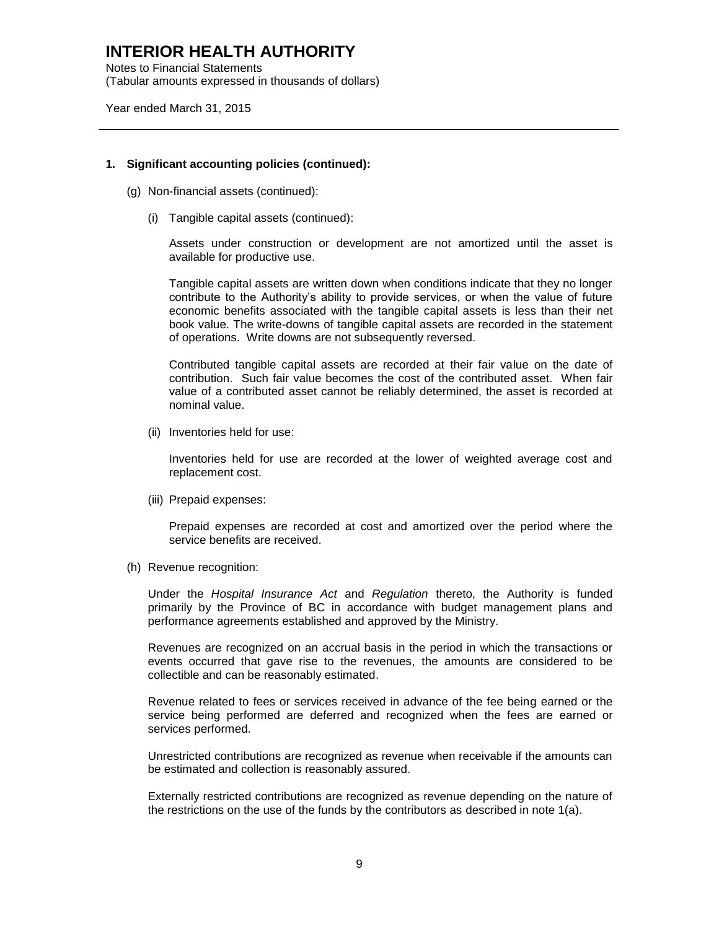Notes to Financial Statements (Tabular amounts expressed in thousands of dollars)

Year ended March 31, 2015

#### **1. Significant accounting policies (continued):**

- (g) Non-financial assets (continued):
	- (i) Tangible capital assets (continued):

Assets under construction or development are not amortized until the asset is available for productive use.

Tangible capital assets are written down when conditions indicate that they no longer contribute to the Authority's ability to provide services, or when the value of future economic benefits associated with the tangible capital assets is less than their net book value. The write-downs of tangible capital assets are recorded in the statement of operations. Write downs are not subsequently reversed.

Contributed tangible capital assets are recorded at their fair value on the date of contribution. Such fair value becomes the cost of the contributed asset. When fair value of a contributed asset cannot be reliably determined, the asset is recorded at nominal value.

(ii) Inventories held for use:

Inventories held for use are recorded at the lower of weighted average cost and replacement cost.

(iii) Prepaid expenses:

Prepaid expenses are recorded at cost and amortized over the period where the service benefits are received.

(h) Revenue recognition:

Under the *Hospital Insurance Act* and *Regulation* thereto, the Authority is funded primarily by the Province of BC in accordance with budget management plans and performance agreements established and approved by the Ministry.

Revenues are recognized on an accrual basis in the period in which the transactions or events occurred that gave rise to the revenues, the amounts are considered to be collectible and can be reasonably estimated.

Revenue related to fees or services received in advance of the fee being earned or the service being performed are deferred and recognized when the fees are earned or services performed.

Unrestricted contributions are recognized as revenue when receivable if the amounts can be estimated and collection is reasonably assured.

Externally restricted contributions are recognized as revenue depending on the nature of the restrictions on the use of the funds by the contributors as described in note 1(a).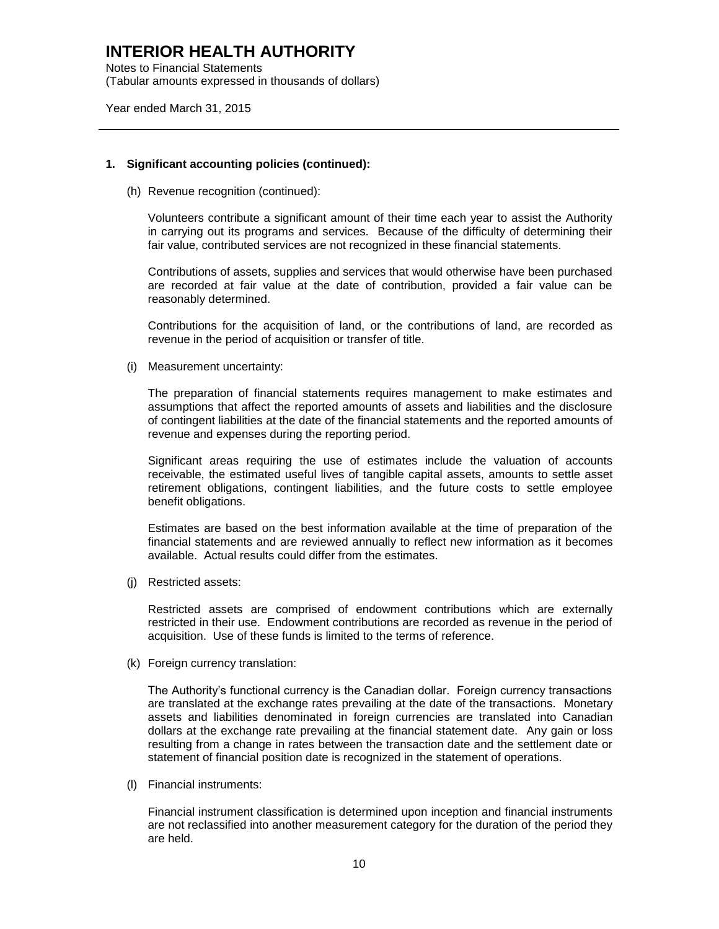Notes to Financial Statements (Tabular amounts expressed in thousands of dollars)

Year ended March 31, 2015

#### **1. Significant accounting policies (continued):**

(h) Revenue recognition (continued):

Volunteers contribute a significant amount of their time each year to assist the Authority in carrying out its programs and services. Because of the difficulty of determining their fair value, contributed services are not recognized in these financial statements.

Contributions of assets, supplies and services that would otherwise have been purchased are recorded at fair value at the date of contribution, provided a fair value can be reasonably determined.

Contributions for the acquisition of land, or the contributions of land, are recorded as revenue in the period of acquisition or transfer of title.

(i) Measurement uncertainty:

The preparation of financial statements requires management to make estimates and assumptions that affect the reported amounts of assets and liabilities and the disclosure of contingent liabilities at the date of the financial statements and the reported amounts of revenue and expenses during the reporting period.

Significant areas requiring the use of estimates include the valuation of accounts receivable, the estimated useful lives of tangible capital assets, amounts to settle asset retirement obligations, contingent liabilities, and the future costs to settle employee benefit obligations.

Estimates are based on the best information available at the time of preparation of the financial statements and are reviewed annually to reflect new information as it becomes available. Actual results could differ from the estimates.

(j) Restricted assets:

Restricted assets are comprised of endowment contributions which are externally restricted in their use. Endowment contributions are recorded as revenue in the period of acquisition. Use of these funds is limited to the terms of reference.

(k) Foreign currency translation:

The Authority's functional currency is the Canadian dollar. Foreign currency transactions are translated at the exchange rates prevailing at the date of the transactions. Monetary assets and liabilities denominated in foreign currencies are translated into Canadian dollars at the exchange rate prevailing at the financial statement date. Any gain or loss resulting from a change in rates between the transaction date and the settlement date or statement of financial position date is recognized in the statement of operations.

(l) Financial instruments:

Financial instrument classification is determined upon inception and financial instruments are not reclassified into another measurement category for the duration of the period they are held.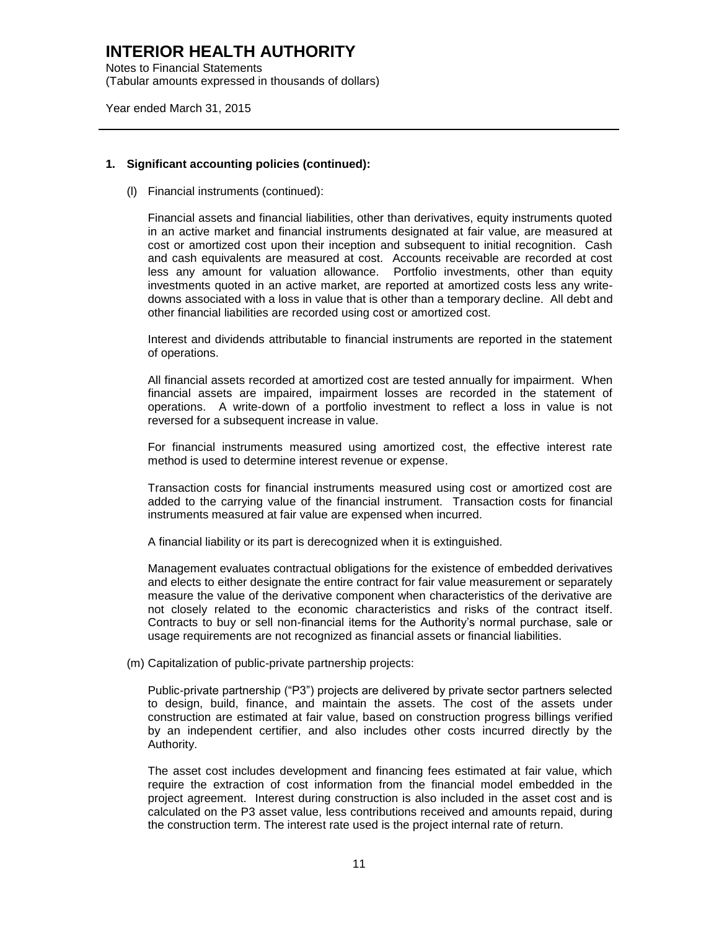Notes to Financial Statements (Tabular amounts expressed in thousands of dollars)

Year ended March 31, 2015

#### **1. Significant accounting policies (continued):**

(l) Financial instruments (continued):

Financial assets and financial liabilities, other than derivatives, equity instruments quoted in an active market and financial instruments designated at fair value, are measured at cost or amortized cost upon their inception and subsequent to initial recognition. Cash and cash equivalents are measured at cost. Accounts receivable are recorded at cost less any amount for valuation allowance. Portfolio investments, other than equity investments quoted in an active market, are reported at amortized costs less any writedowns associated with a loss in value that is other than a temporary decline. All debt and other financial liabilities are recorded using cost or amortized cost.

Interest and dividends attributable to financial instruments are reported in the statement of operations.

All financial assets recorded at amortized cost are tested annually for impairment. When financial assets are impaired, impairment losses are recorded in the statement of operations. A write-down of a portfolio investment to reflect a loss in value is not reversed for a subsequent increase in value.

For financial instruments measured using amortized cost, the effective interest rate method is used to determine interest revenue or expense.

Transaction costs for financial instruments measured using cost or amortized cost are added to the carrying value of the financial instrument. Transaction costs for financial instruments measured at fair value are expensed when incurred.

A financial liability or its part is derecognized when it is extinguished.

Management evaluates contractual obligations for the existence of embedded derivatives and elects to either designate the entire contract for fair value measurement or separately measure the value of the derivative component when characteristics of the derivative are not closely related to the economic characteristics and risks of the contract itself. Contracts to buy or sell non-financial items for the Authority's normal purchase, sale or usage requirements are not recognized as financial assets or financial liabilities.

(m) Capitalization of public-private partnership projects:

Public-private partnership ("P3") projects are delivered by private sector partners selected to design, build, finance, and maintain the assets. The cost of the assets under construction are estimated at fair value, based on construction progress billings verified by an independent certifier, and also includes other costs incurred directly by the Authority.

The asset cost includes development and financing fees estimated at fair value, which require the extraction of cost information from the financial model embedded in the project agreement. Interest during construction is also included in the asset cost and is calculated on the P3 asset value, less contributions received and amounts repaid, during the construction term. The interest rate used is the project internal rate of return.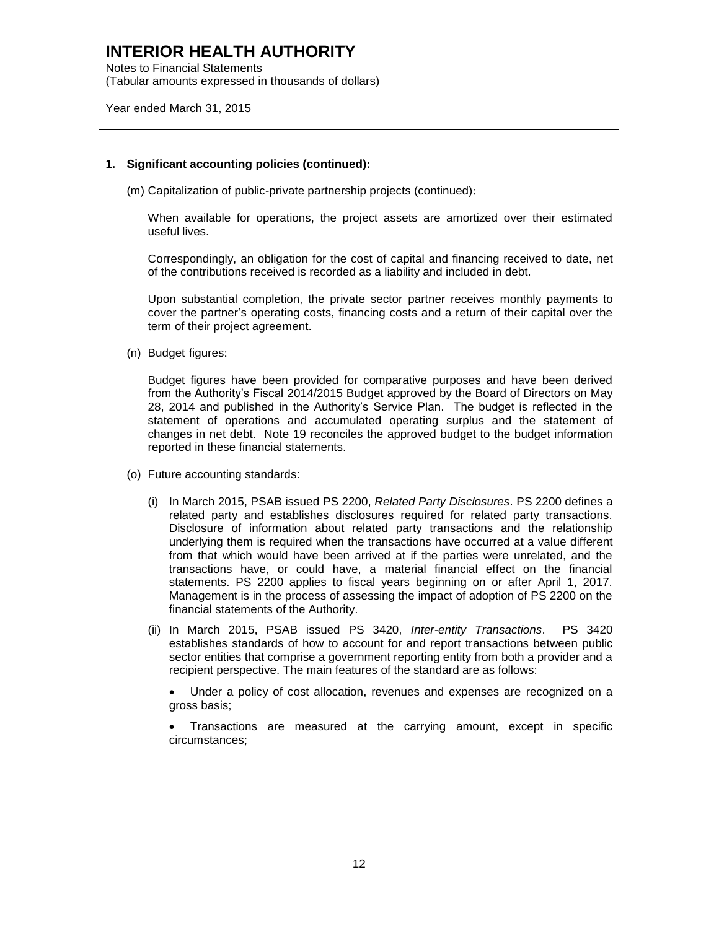Notes to Financial Statements (Tabular amounts expressed in thousands of dollars)

Year ended March 31, 2015

#### **1. Significant accounting policies (continued):**

(m) Capitalization of public-private partnership projects (continued):

When available for operations, the project assets are amortized over their estimated useful lives.

Correspondingly, an obligation for the cost of capital and financing received to date, net of the contributions received is recorded as a liability and included in debt.

Upon substantial completion, the private sector partner receives monthly payments to cover the partner's operating costs, financing costs and a return of their capital over the term of their project agreement.

(n) Budget figures:

Budget figures have been provided for comparative purposes and have been derived from the Authority's Fiscal 2014/2015 Budget approved by the Board of Directors on May 28, 2014 and published in the Authority's Service Plan. The budget is reflected in the statement of operations and accumulated operating surplus and the statement of changes in net debt. Note 19 reconciles the approved budget to the budget information reported in these financial statements.

- (o) Future accounting standards:
	- (i) In March 2015, PSAB issued PS 2200, *Related Party Disclosures*. PS 2200 defines a related party and establishes disclosures required for related party transactions. Disclosure of information about related party transactions and the relationship underlying them is required when the transactions have occurred at a value different from that which would have been arrived at if the parties were unrelated, and the transactions have, or could have, a material financial effect on the financial statements. PS 2200 applies to fiscal years beginning on or after April 1, 2017. Management is in the process of assessing the impact of adoption of PS 2200 on the financial statements of the Authority.
	- (ii) In March 2015, PSAB issued PS 3420, *Inter-entity Transactions*. PS 3420 establishes standards of how to account for and report transactions between public sector entities that comprise a government reporting entity from both a provider and a recipient perspective. The main features of the standard are as follows:

 Under a policy of cost allocation, revenues and expenses are recognized on a gross basis;

 Transactions are measured at the carrying amount, except in specific circumstances;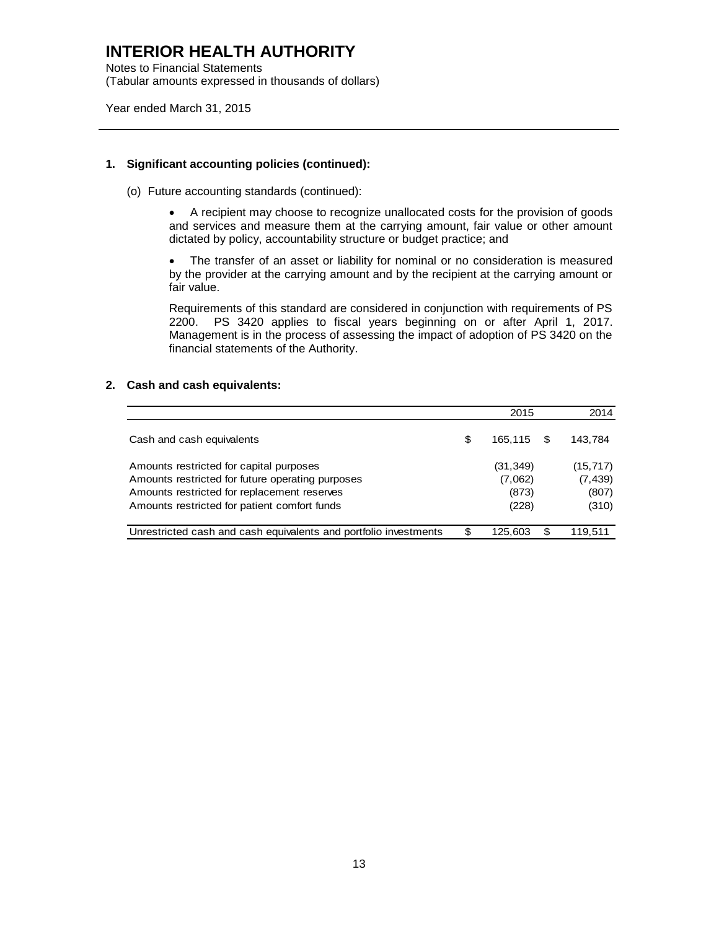Notes to Financial Statements (Tabular amounts expressed in thousands of dollars)

Year ended March 31, 2015

#### **1. Significant accounting policies (continued):**

(o) Future accounting standards (continued):

 A recipient may choose to recognize unallocated costs for the provision of goods and services and measure them at the carrying amount, fair value or other amount dictated by policy, accountability structure or budget practice; and

 The transfer of an asset or liability for nominal or no consideration is measured by the provider at the carrying amount and by the recipient at the carrying amount or fair value.

Requirements of this standard are considered in conjunction with requirements of PS 2200. PS 3420 applies to fiscal years beginning on or after April 1, 2017. Management is in the process of assessing the impact of adoption of PS 3420 on the financial statements of the Authority.

#### **2. Cash and cash equivalents:**

|                                                                                                                                                                                            |   | 2015                                   |   | 2014                                    |
|--------------------------------------------------------------------------------------------------------------------------------------------------------------------------------------------|---|----------------------------------------|---|-----------------------------------------|
| Cash and cash equivalents                                                                                                                                                                  | S | 165.115                                | S | 143.784                                 |
| Amounts restricted for capital purposes<br>Amounts restricted for future operating purposes<br>Amounts restricted for replacement reserves<br>Amounts restricted for patient comfort funds |   | (31, 349)<br>(7.062)<br>(873)<br>(228) |   | (15, 717)<br>(7, 439)<br>(807)<br>(310) |
| Unrestricted cash and cash equivalents and portfolio investments                                                                                                                           | S | 125.603                                | S | 119.511                                 |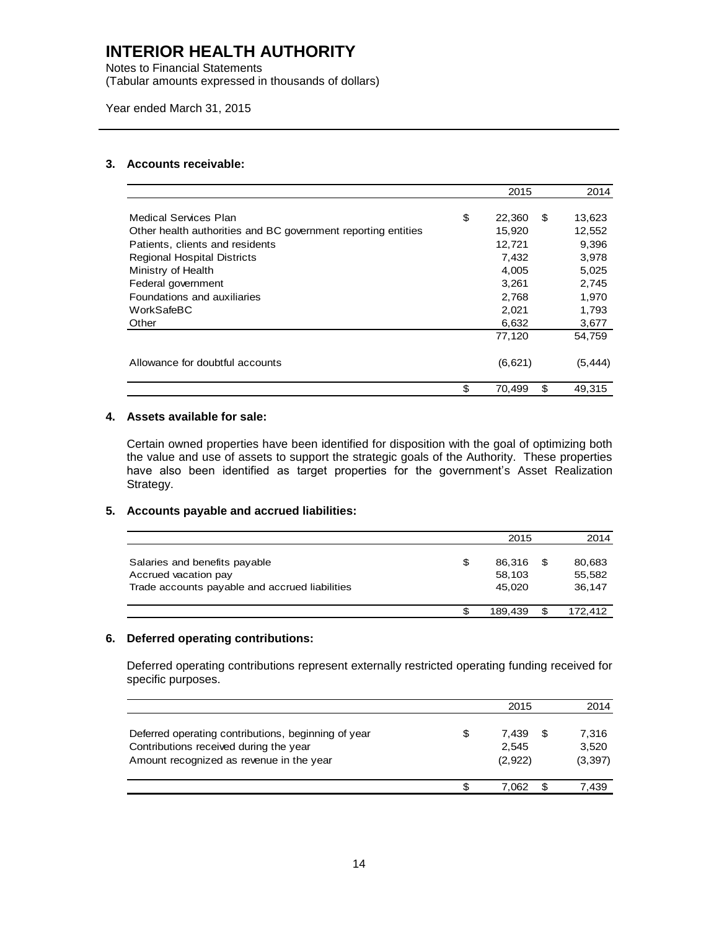Notes to Financial Statements (Tabular amounts expressed in thousands of dollars)

Year ended March 31, 2015

#### **3. Accounts receivable:**

|                                                               | 2015                | 2014     |
|---------------------------------------------------------------|---------------------|----------|
|                                                               |                     |          |
| Medical Services Plan                                         | \$<br>22,360<br>\$. | 13,623   |
| Other health authorities and BC government reporting entities | 15,920              | 12,552   |
| Patients, clients and residents                               | 12,721              | 9,396    |
| <b>Regional Hospital Districts</b>                            | 7,432               | 3,978    |
| Ministry of Health                                            | 4,005               | 5,025    |
| Federal government                                            | 3,261               | 2,745    |
| Foundations and auxiliaries                                   | 2,768               | 1,970    |
| WorkSafeBC                                                    | 2,021               | 1,793    |
| Other                                                         | 6,632               | 3,677    |
|                                                               | 77,120              | 54,759   |
| Allowance for doubtful accounts                               | (6,621)             | (5, 444) |
|                                                               | \$<br>\$<br>70,499  | 49,315   |
|                                                               |                     |          |

#### **4. Assets available for sale:**

Certain owned properties have been identified for disposition with the goal of optimizing both the value and use of assets to support the strategic goals of the Authority. These properties have also been identified as target properties for the government's Asset Realization Strategy.

#### **5. Accounts payable and accrued liabilities:**

|                                                                                                         | 2015                             | 2014                             |
|---------------------------------------------------------------------------------------------------------|----------------------------------|----------------------------------|
| Salaries and benefits payable<br>Accrued vacation pay<br>Trade accounts payable and accrued liabilities | \$<br>86.316<br>58,103<br>45.020 | \$<br>80,683<br>55,582<br>36.147 |
|                                                                                                         | 189.439                          | 172.412                          |

#### **6. Deferred operating contributions:**

Deferred operating contributions represent externally restricted operating funding received for specific purposes.

|                                                                                                                                           | 2015                            |   | 2014                       |
|-------------------------------------------------------------------------------------------------------------------------------------------|---------------------------------|---|----------------------------|
| Deferred operating contributions, beginning of year<br>Contributions received during the year<br>Amount recognized as revenue in the year | \$<br>7.439<br>2.545<br>(2,922) | S | 7.316<br>3,520<br>(3, 397) |
|                                                                                                                                           | 7.062                           |   | 7.439                      |
|                                                                                                                                           |                                 |   |                            |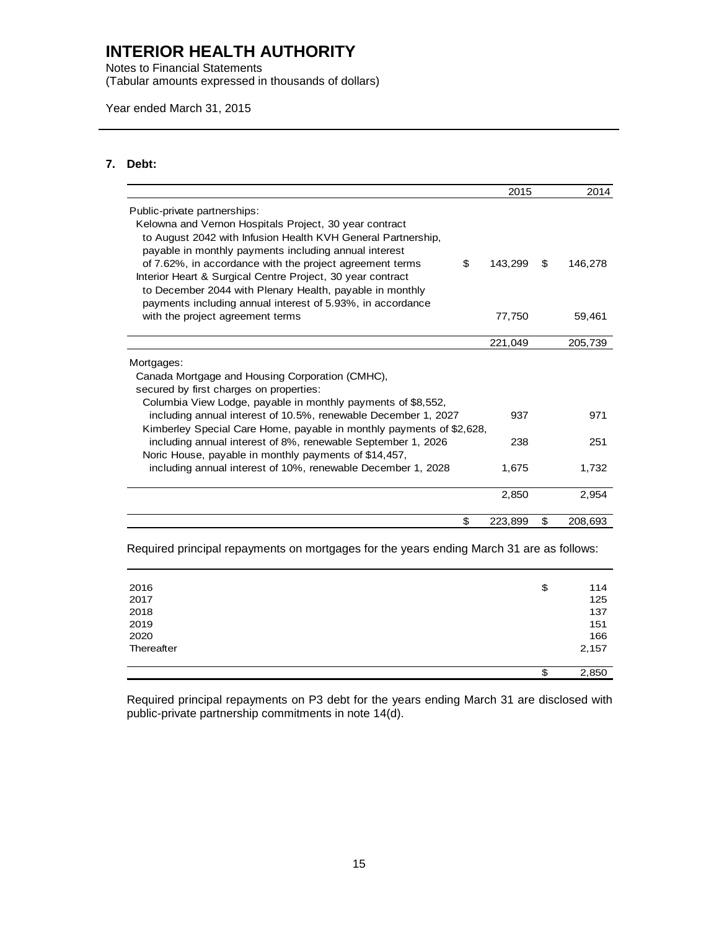Notes to Financial Statements (Tabular amounts expressed in thousands of dollars)

Year ended March 31, 2015

#### **7. Debt:**

|                                                                                                                                                                                      | 2015    |    | 2014    |
|--------------------------------------------------------------------------------------------------------------------------------------------------------------------------------------|---------|----|---------|
| Public-private partnerships:                                                                                                                                                         |         |    |         |
| Kelowna and Vernon Hospitals Project, 30 year contract<br>to August 2042 with Infusion Health KVH General Partnership,<br>payable in monthly payments including annual interest      |         |    |         |
| of 7.62%, in accordance with the project agreement terms<br>\$                                                                                                                       | 143,299 | S  | 146,278 |
| Interior Heart & Surgical Centre Project, 30 year contract<br>to December 2044 with Plenary Health, payable in monthly<br>payments including annual interest of 5.93%, in accordance |         |    |         |
| with the project agreement terms                                                                                                                                                     | 77,750  |    | 59,461  |
|                                                                                                                                                                                      | 221,049 |    | 205,739 |
| Mortgages:                                                                                                                                                                           |         |    |         |
| Canada Mortgage and Housing Corporation (CMHC),                                                                                                                                      |         |    |         |
| secured by first charges on properties:                                                                                                                                              |         |    |         |
| Columbia View Lodge, payable in monthly payments of \$8,552,                                                                                                                         |         |    |         |
| including annual interest of 10.5%, renewable December 1, 2027                                                                                                                       | 937     |    | 971     |
| Kimberley Special Care Home, payable in monthly payments of \$2,628,                                                                                                                 |         |    |         |
| including annual interest of 8%, renewable September 1, 2026                                                                                                                         | 238     |    | 251     |
| Noric House, payable in monthly payments of \$14,457,                                                                                                                                |         |    |         |
| including annual interest of 10%, renewable December 1, 2028                                                                                                                         | 1,675   |    | 1,732   |
|                                                                                                                                                                                      | 2,850   |    | 2,954   |
| \$                                                                                                                                                                                   | 223,899 | \$ | 208,693 |

Required principal repayments on mortgages for the years ending March 31 are as follows:

| 2016       | \$<br>114   |
|------------|-------------|
| 2017       | 125         |
| 2018       | 137         |
| 2019       | 151         |
| 2020       | 166         |
| Thereafter | 2,157       |
|            |             |
|            | \$<br>2,850 |

Required principal repayments on P3 debt for the years ending March 31 are disclosed with public-private partnership commitments in note 14(d).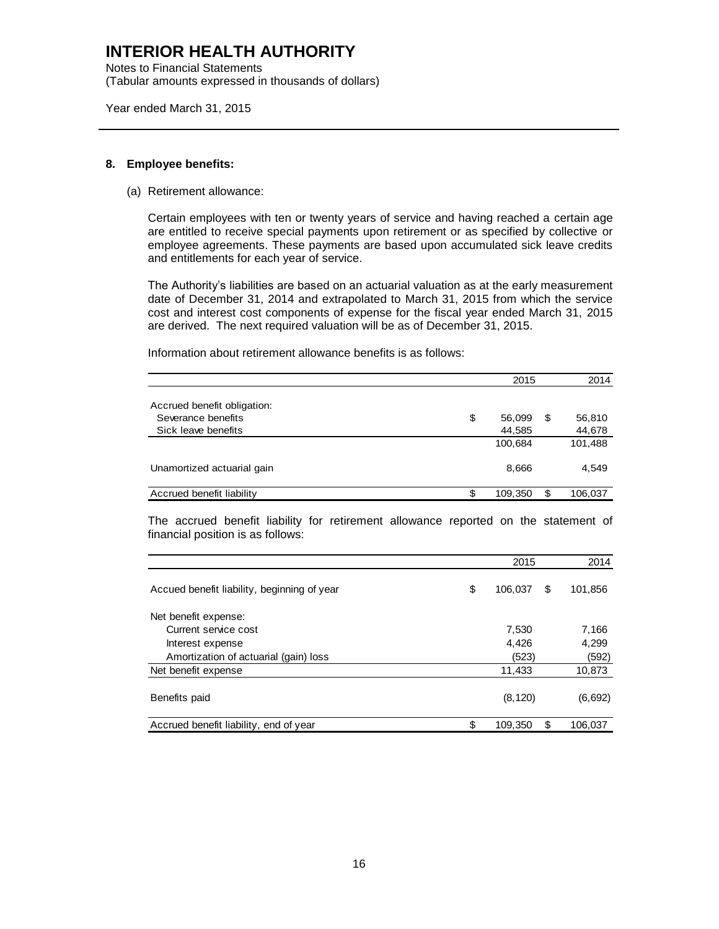Notes to Financial Statements (Tabular amounts expressed in thousands of dollars)

Year ended March 31, 2015

#### **8. Employee benefits:**

(a) Retirement allowance:

Certain employees with ten or twenty years of service and having reached a certain age are entitled to receive special payments upon retirement or as specified by collective or employee agreements. These payments are based upon accumulated sick leave credits and entitlements for each year of service.

The Authority's liabilities are based on an actuarial valuation as at the early measurement date of December 31, 2014 and extrapolated to March 31, 2015 from which the service cost and interest cost components of expense for the fiscal year ended March 31, 2015 are derived. The next required valuation will be as of December 31, 2015.

Information about retirement allowance benefits is as follows:

|                             | 2015          | 2014          |
|-----------------------------|---------------|---------------|
|                             |               |               |
| Accrued benefit obligation: |               |               |
| Severance benefits          | \$<br>56.099  | \$<br>56,810  |
| Sick leave benefits         | 44,585        | 44,678        |
|                             | 100,684       | 101,488       |
|                             |               |               |
| Unamortized actuarial gain  | 8,666         | 4,549         |
|                             |               |               |
| Accrued benefit liability   | \$<br>109,350 | \$<br>106,037 |

The accrued benefit liability for retirement allowance reported on the statement of financial position is as follows:

|                                             | 2015          | 2014          |
|---------------------------------------------|---------------|---------------|
| Accued benefit liability, beginning of year | \$<br>106,037 | \$<br>101,856 |
| Net benefit expense:                        |               |               |
| Current service cost                        | 7.530         | 7,166         |
| Interest expense                            | 4,426         | 4,299         |
| Amortization of actuarial (gain) loss       | (523)         | (592)         |
| Net benefit expense                         | 11,433        | 10,873        |
| Benefits paid                               | (8, 120)      | (6,692)       |
| Accrued benefit liability, end of year      | \$<br>109.350 | \$<br>106.037 |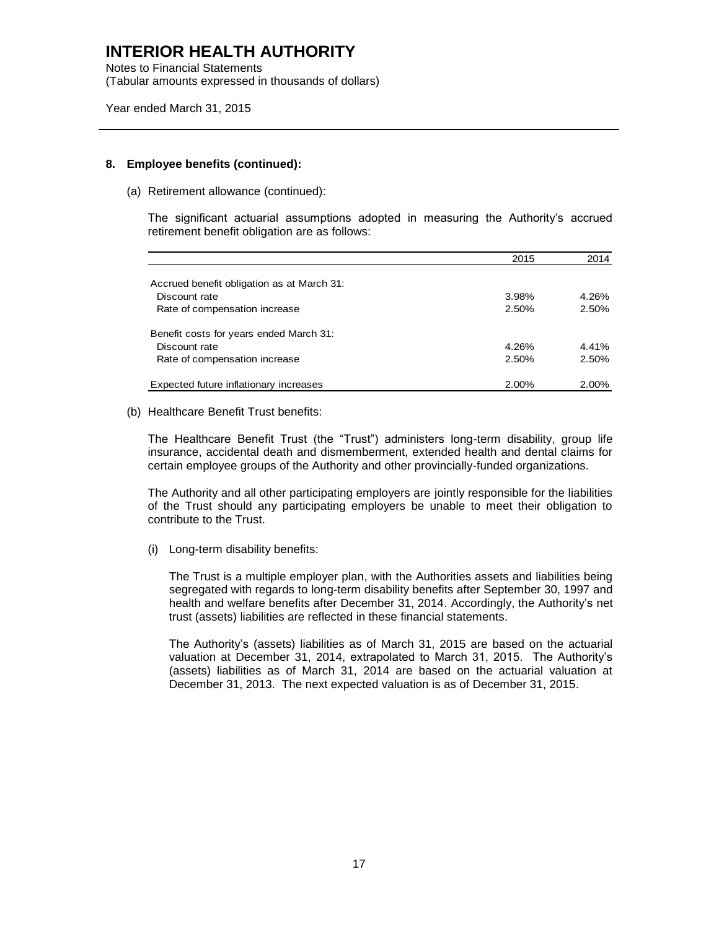Notes to Financial Statements (Tabular amounts expressed in thousands of dollars)

Year ended March 31, 2015

#### **8. Employee benefits (continued):**

(a) Retirement allowance (continued):

The significant actuarial assumptions adopted in measuring the Authority's accrued retirement benefit obligation are as follows:

|                                            | 2015  | 2014     |
|--------------------------------------------|-------|----------|
|                                            |       |          |
| Accrued benefit obligation as at March 31: |       |          |
| Discount rate                              | 3.98% | 4.26%    |
| Rate of compensation increase              | 2.50% | $2.50\%$ |
| Benefit costs for years ended March 31:    |       |          |
| Discount rate                              | 4.26% | 4.41%    |
| Rate of compensation increase              | 2.50% | 2.50%    |
| Expected future inflationary increases     | 2.00% | 2.00%    |

(b) Healthcare Benefit Trust benefits:

The Healthcare Benefit Trust (the "Trust") administers long-term disability, group life insurance, accidental death and dismemberment, extended health and dental claims for certain employee groups of the Authority and other provincially-funded organizations.

The Authority and all other participating employers are jointly responsible for the liabilities of the Trust should any participating employers be unable to meet their obligation to contribute to the Trust.

(i) Long-term disability benefits:

The Trust is a multiple employer plan, with the Authorities assets and liabilities being segregated with regards to long-term disability benefits after September 30, 1997 and health and welfare benefits after December 31, 2014. Accordingly, the Authority's net trust (assets) liabilities are reflected in these financial statements.

The Authority's (assets) liabilities as of March 31, 2015 are based on the actuarial valuation at December 31, 2014, extrapolated to March 31, 2015. The Authority's (assets) liabilities as of March 31, 2014 are based on the actuarial valuation at December 31, 2013. The next expected valuation is as of December 31, 2015.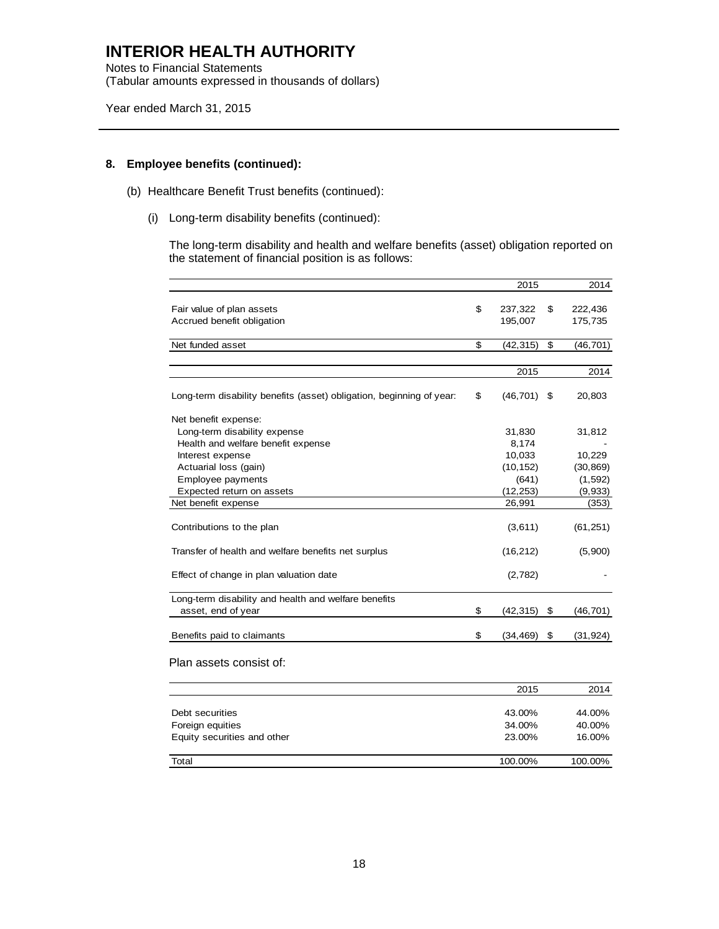Notes to Financial Statements (Tabular amounts expressed in thousands of dollars)

Year ended March 31, 2015

#### **8. Employee benefits (continued):**

- (b) Healthcare Benefit Trust benefits (continued):
	- (i) Long-term disability benefits (continued):

The long-term disability and health and welfare benefits (asset) obligation reported on the statement of financial position is as follows:

|                                                                      | 2015            | 2014            |
|----------------------------------------------------------------------|-----------------|-----------------|
| Fair value of plan assets                                            | \$<br>237,322   | \$<br>222,436   |
|                                                                      |                 |                 |
| Accrued benefit obligation                                           | 195,007         | 175,735         |
| Net funded asset                                                     | \$<br>(42, 315) | \$<br>(46, 701) |
|                                                                      |                 |                 |
|                                                                      | 2015            | 2014            |
| Long-term disability benefits (asset) obligation, beginning of year: | \$<br>(46, 701) | \$<br>20,803    |
| Net benefit expense:                                                 |                 |                 |
| Long-term disability expense                                         | 31,830          | 31,812          |
| Health and welfare benefit expense                                   | 8,174           |                 |
| Interest expense                                                     | 10,033          | 10,229          |
| Actuarial loss (gain)                                                | (10, 152)       | (30, 869)       |
| Employee payments                                                    | (641)           | (1, 592)        |
| Expected return on assets                                            | (12, 253)       | (9,933)         |
| Net benefit expense                                                  | 26,991          | (353)           |
| Contributions to the plan                                            | (3,611)         | (61, 251)       |
| Transfer of health and welfare benefits net surplus                  | (16, 212)       | (5,900)         |
| Effect of change in plan valuation date                              | (2,782)         |                 |
| Long-term disability and health and welfare benefits                 |                 |                 |
| asset, end of year                                                   | \$<br>(42, 315) | \$<br>(46, 701) |
| Benefits paid to claimants                                           | \$<br>(34, 469) | \$<br>(31, 924) |
| Plan assets consist of:                                              |                 |                 |
|                                                                      | 2015            | 2014            |
| Debt securities                                                      | 43.00%          | 44.00%          |
| Foreign equities                                                     | 34.00%          | 40.00%          |
| Equity securities and other                                          | 23.00%          | 16.00%          |
| Total                                                                | 100.00%         | 100.00%         |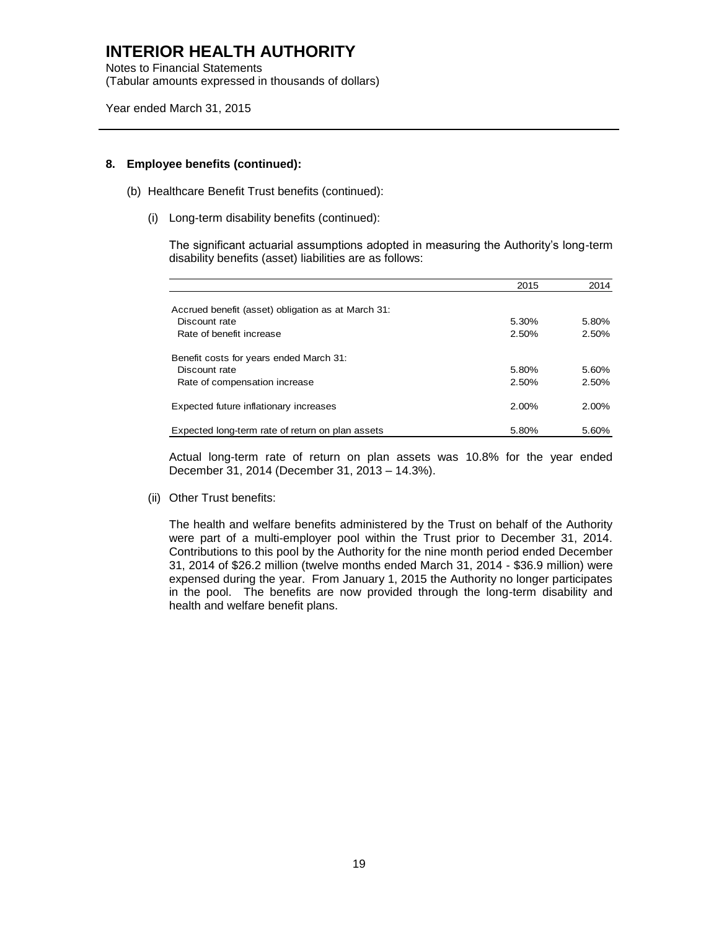Notes to Financial Statements (Tabular amounts expressed in thousands of dollars)

Year ended March 31, 2015

#### **8. Employee benefits (continued):**

- (b) Healthcare Benefit Trust benefits (continued):
	- (i) Long-term disability benefits (continued):

The significant actuarial assumptions adopted in measuring the Authority's long-term disability benefits (asset) liabilities are as follows:

|                                                    | 2015     | 2014     |
|----------------------------------------------------|----------|----------|
|                                                    |          |          |
| Accrued benefit (asset) obligation as at March 31: |          |          |
| Discount rate                                      | 5.30%    | 5.80%    |
| Rate of benefit increase                           | 2.50%    | 2.50%    |
| Benefit costs for years ended March 31:            |          |          |
| Discount rate                                      | 5.80%    | 5.60%    |
| Rate of compensation increase                      | 2.50%    | 2.50%    |
| Expected future inflationary increases             | $2.00\%$ | $2.00\%$ |
| Expected long-term rate of return on plan assets   | 5.80%    | 5.60%    |

Actual long-term rate of return on plan assets was 10.8% for the year ended December 31, 2014 (December 31, 2013 – 14.3%).

(ii) Other Trust benefits:

The health and welfare benefits administered by the Trust on behalf of the Authority were part of a multi-employer pool within the Trust prior to December 31, 2014. Contributions to this pool by the Authority for the nine month period ended December 31, 2014 of \$26.2 million (twelve months ended March 31, 2014 - \$36.9 million) were expensed during the year. From January 1, 2015 the Authority no longer participates in the pool. The benefits are now provided through the long-term disability and health and welfare benefit plans.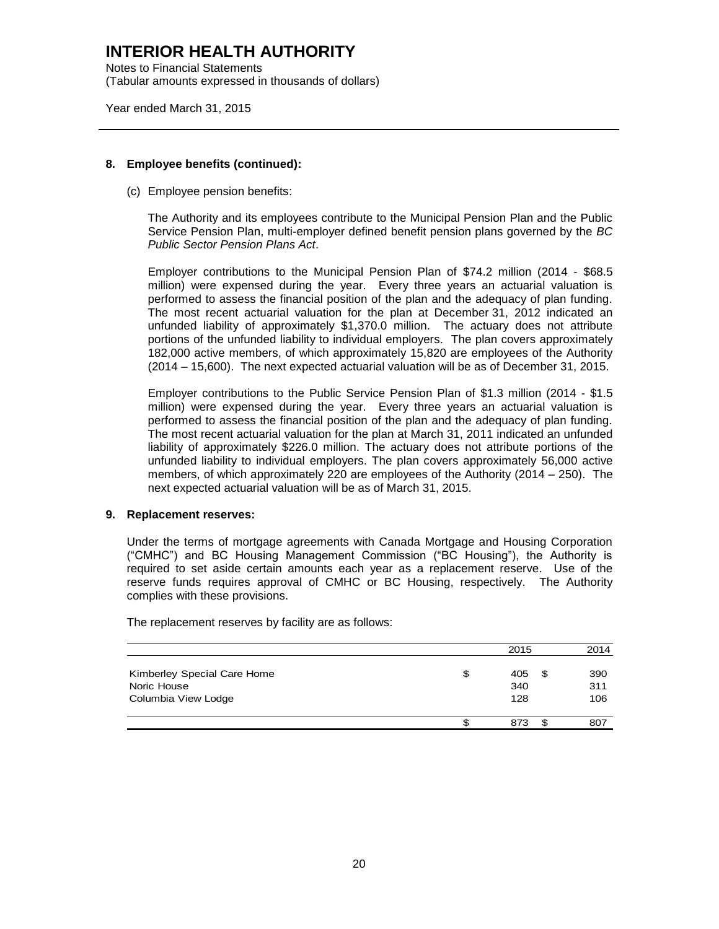Notes to Financial Statements (Tabular amounts expressed in thousands of dollars)

Year ended March 31, 2015

#### **8. Employee benefits (continued):**

(c) Employee pension benefits:

The Authority and its employees contribute to the Municipal Pension Plan and the Public Service Pension Plan, multi-employer defined benefit pension plans governed by the *BC Public Sector Pension Plans Act*.

Employer contributions to the Municipal Pension Plan of \$74.2 million (2014 - \$68.5 million) were expensed during the year. Every three years an actuarial valuation is performed to assess the financial position of the plan and the adequacy of plan funding. The most recent actuarial valuation for the plan at December 31, 2012 indicated an unfunded liability of approximately \$1,370.0 million. The actuary does not attribute portions of the unfunded liability to individual employers. The plan covers approximately 182,000 active members, of which approximately 15,820 are employees of the Authority (2014 – 15,600). The next expected actuarial valuation will be as of December 31, 2015.

Employer contributions to the Public Service Pension Plan of \$1.3 million (2014 - \$1.5 million) were expensed during the year. Every three years an actuarial valuation is performed to assess the financial position of the plan and the adequacy of plan funding. The most recent actuarial valuation for the plan at March 31, 2011 indicated an unfunded liability of approximately \$226.0 million. The actuary does not attribute portions of the unfunded liability to individual employers. The plan covers approximately 56,000 active members, of which approximately 220 are employees of the Authority (2014 – 250). The next expected actuarial valuation will be as of March 31, 2015.

#### **9. Replacement reserves:**

Under the terms of mortgage agreements with Canada Mortgage and Housing Corporation ("CMHC") and BC Housing Management Commission ("BC Housing"), the Authority is required to set aside certain amounts each year as a replacement reserve. Use of the reserve funds requires approval of CMHC or BC Housing, respectively. The Authority complies with these provisions.

The replacement reserves by facility are as follows:

|                                                                   | 2015                    |    | 2014              |
|-------------------------------------------------------------------|-------------------------|----|-------------------|
| Kimberley Special Care Home<br>Noric House<br>Columbia View Lodge | \$<br>405<br>340<br>128 | £. | 390<br>311<br>106 |
|                                                                   | \$<br>873               |    | 807               |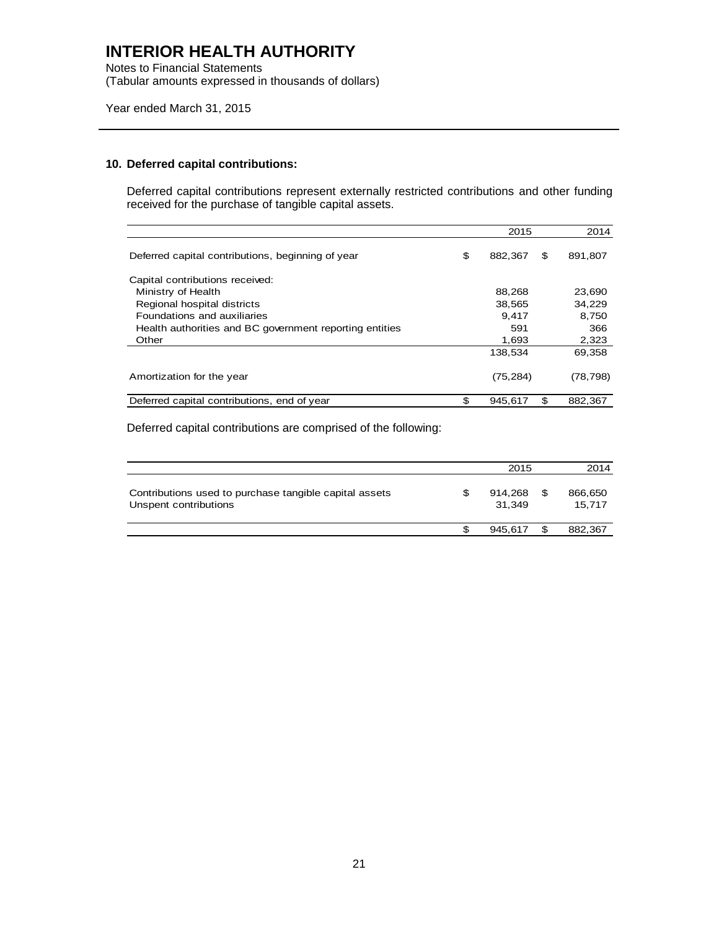Notes to Financial Statements (Tabular amounts expressed in thousands of dollars)

Year ended March 31, 2015

#### **10. Deferred capital contributions:**

Deferred capital contributions represent externally restricted contributions and other funding received for the purchase of tangible capital assets.

|                                                         | 2015          | 2014          |
|---------------------------------------------------------|---------------|---------------|
| Deferred capital contributions, beginning of year       | \$<br>882,367 | \$<br>891,807 |
| Capital contributions received:                         |               |               |
| Ministry of Health                                      | 88,268        | 23,690        |
| Regional hospital districts                             | 38,565        | 34,229        |
| Foundations and auxiliaries                             | 9.417         | 8,750         |
| Health authorities and BC government reporting entities | 591           | 366           |
| Other                                                   | 1,693         | 2,323         |
|                                                         | 138.534       | 69,358        |
| Amortization for the year                               | (75, 284)     | (78, 798)     |
| Deferred capital contributions, end of year             | \$<br>945,617 | \$<br>882.367 |

Deferred capital contributions are comprised of the following:

|                                                                                 |     | 2015              |     | 2014              |
|---------------------------------------------------------------------------------|-----|-------------------|-----|-------------------|
| Contributions used to purchase tangible capital assets<br>Unspent contributions | \$  | 914.268<br>31.349 | \$  | 866,650<br>15.717 |
|                                                                                 | \$. | 945.617           | \$. | 882.367           |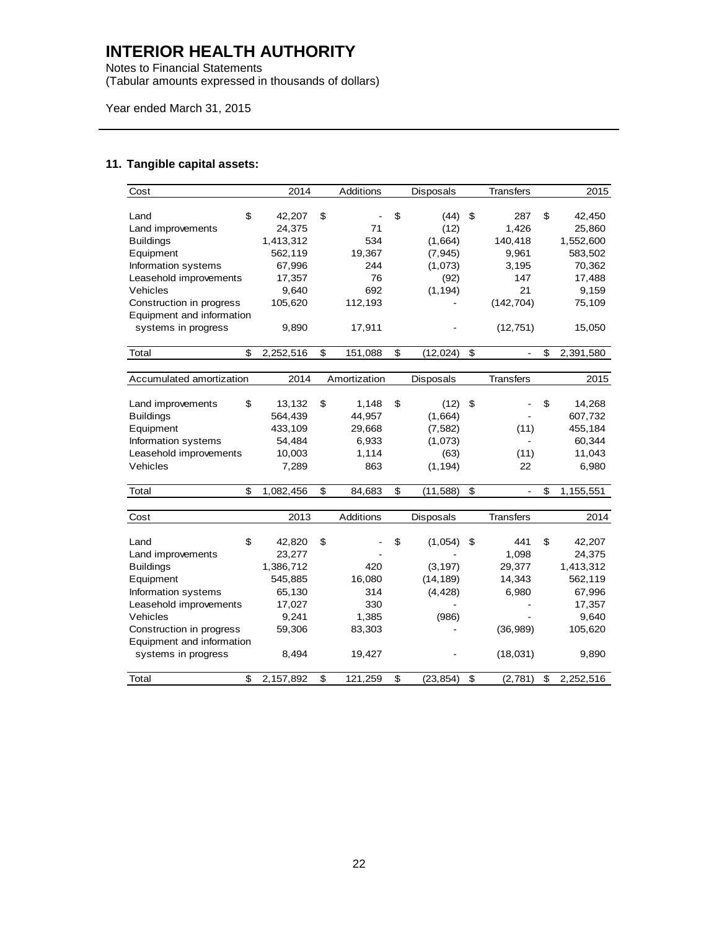Notes to Financial Statements (Tabular amounts expressed in thousands of dollars)

Year ended March 31, 2015

### **11. Tangible capital assets:**

| Cost                      | 2014      | Additions     | <b>Disposals</b> |    | <b>Transfers</b> | 2015            |
|---------------------------|-----------|---------------|------------------|----|------------------|-----------------|
|                           |           |               |                  |    |                  |                 |
| \$<br>Land                | 42,207    | \$            | \$<br>(44)       | \$ | 287              | \$<br>42,450    |
| Land improvements         | 24,375    | 71            | (12)             |    | 1,426            | 25,860          |
| <b>Buildings</b>          | 1,413,312 | 534           | (1,664)          |    | 140,418          | 1,552,600       |
| Equipment                 | 562,119   | 19,367        | (7, 945)         |    | 9,961            | 583,502         |
| Information systems       | 67,996    | 244           | (1,073)          |    | 3,195            | 70,362          |
| Leasehold improvements    | 17,357    | 76            | (92)             |    | 147              | 17,488          |
| Vehicles                  | 9,640     | 692           | (1, 194)         |    | 21               | 9,159           |
| Construction in progress  | 105,620   | 112,193       |                  |    | (142, 704)       | 75,109          |
| Equipment and information |           |               |                  |    |                  |                 |
| systems in progress       | 9,890     | 17,911        |                  |    | (12, 751)        | 15,050          |
|                           |           |               |                  |    |                  |                 |
| \$<br>Total               | 2,252,516 | \$<br>151,088 | \$<br>(12, 024)  | \$ | ä,               | \$<br>2,391,580 |
|                           |           |               |                  |    |                  |                 |
| Accumulated amortization  | 2014      | Amortization  | <b>Disposals</b> |    | <b>Transfers</b> | 2015            |
|                           |           |               |                  |    |                  |                 |
| \$<br>Land improvements   | 13,132    | \$<br>1,148   | \$<br>(12)       | \$ |                  | \$<br>14,268    |
| <b>Buildings</b>          | 564,439   | 44,957        | (1,664)          |    |                  | 607,732         |
| Equipment                 | 433,109   | 29,668        | (7, 582)         |    | (11)             | 455,184         |
| Information systems       | 54,484    | 6,933         | (1,073)          |    |                  | 60,344          |
| Leasehold improvements    | 10,003    | 1,114         | (63)             |    | (11)             | 11,043          |
| Vehicles                  | 7,289     | 863           | (1, 194)         |    | 22               | 6,980           |
|                           |           |               |                  |    |                  |                 |
| \$<br>Total               | 1,082,456 | \$<br>84,683  | \$<br>(11, 588)  | \$ |                  | \$<br>1,155,551 |
|                           |           |               |                  |    |                  |                 |
| Cost                      | 2013      | Additions     | <b>Disposals</b> |    | <b>Transfers</b> | 2014            |
|                           |           |               |                  |    |                  |                 |
| \$<br>Land                | 42,820    | \$            | \$<br>(1,054)    | S  | 441              | \$<br>42,207    |
| Land improvements         | 23,277    |               |                  |    | 1,098            | 24,375          |
| <b>Buildings</b>          | 1,386,712 | 420           | (3, 197)         |    | 29,377           | 1,413,312       |
| Equipment                 | 545,885   | 16,080        | (14, 189)        |    | 14,343           | 562,119         |
| Information systems       | 65,130    | 314           | (4, 428)         |    | 6,980            | 67,996          |
| Leasehold improvements    | 17,027    | 330           |                  |    |                  | 17,357          |
| Vehicles                  | 9,241     | 1,385         | (986)            |    |                  | 9,640           |
| Construction in progress  | 59,306    | 83,303        |                  |    | (36,989)         | 105,620         |
| Equipment and information |           |               |                  |    |                  |                 |
| systems in progress       | 8,494     | 19,427        |                  |    | (18,031)         | 9,890           |
|                           |           |               |                  |    |                  |                 |
| Total<br>\$               | 2,157,892 | \$<br>121,259 | \$<br>(23, 854)  | \$ | (2,781)          | \$<br>2,252,516 |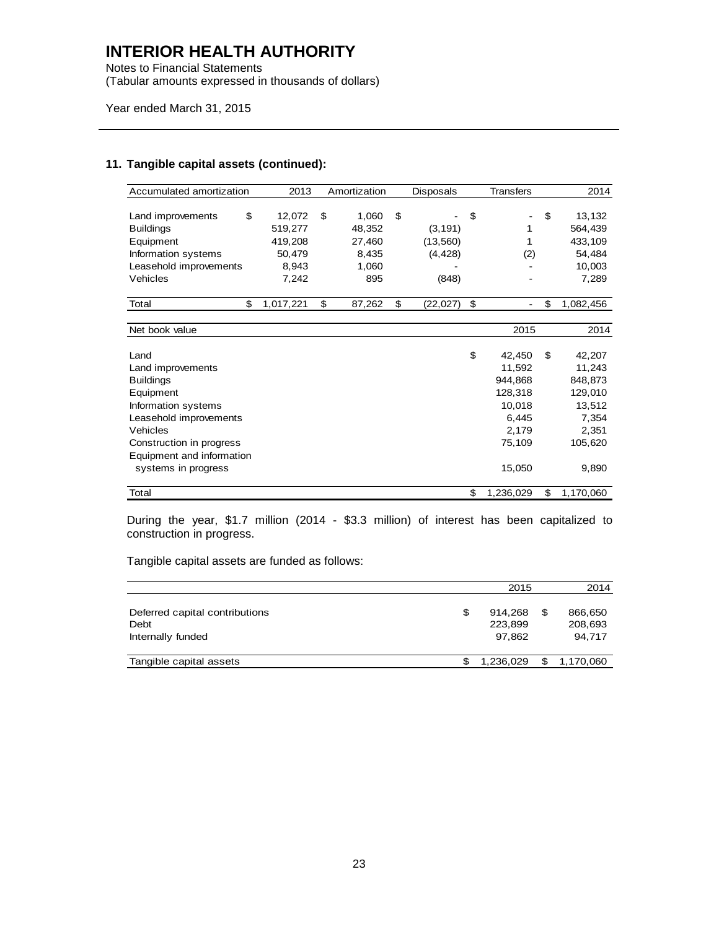Notes to Financial Statements (Tabular amounts expressed in thousands of dollars)

Year ended March 31, 2015

#### **11. Tangible capital assets (continued):**

During the year, \$1.7 million (2014 - \$3.3 million) of interest has been capitalized to construction in progress.

Tangible capital assets are funded as follows:

|                                                             | 2015                               |     | 2014                         |
|-------------------------------------------------------------|------------------------------------|-----|------------------------------|
| Deferred capital contributions<br>Debt<br>Internally funded | \$<br>914,268<br>223,899<br>97.862 | \$  | 866,650<br>208,693<br>94.717 |
| Tangible capital assets                                     | 1,236,029                          | \$. | 1,170,060                    |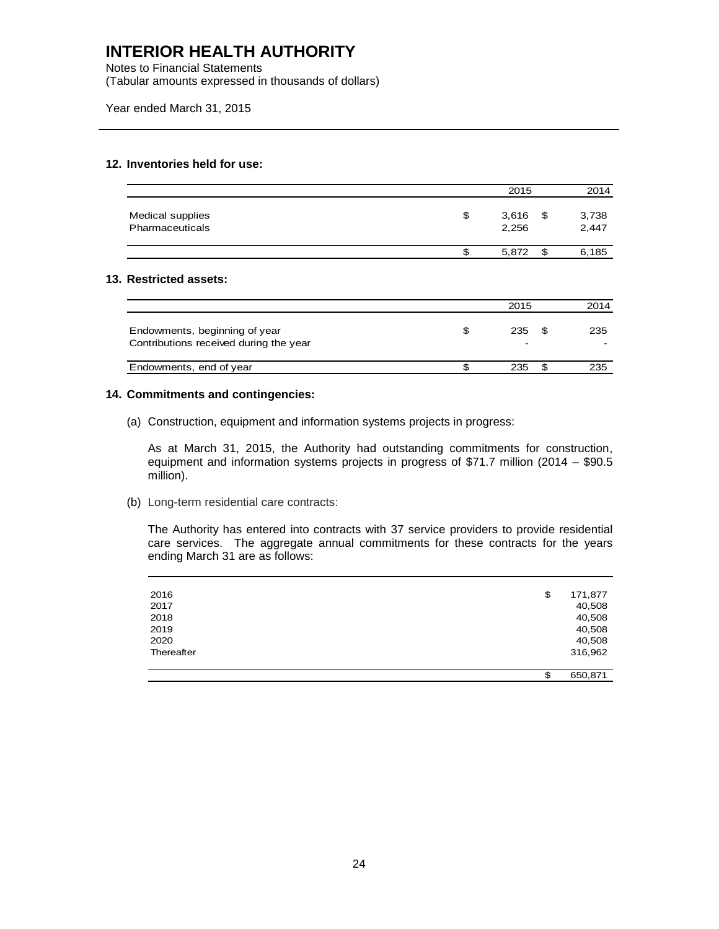Notes to Financial Statements (Tabular amounts expressed in thousands of dollars)

Year ended March 31, 2015

#### **12. Inventories held for use:**

|                                     | 2015                      | 2014           |
|-------------------------------------|---------------------------|----------------|
| Medical supplies<br>Pharmaceuticals | \$<br>$3,616$ \$<br>2.256 | 3,738<br>2,447 |
|                                     | 5,872                     | \$<br>6,185    |

#### **13. Restricted assets:**

|                                                                         |     | 2015     | 2014 |
|-------------------------------------------------------------------------|-----|----------|------|
| Endowments, beginning of year<br>Contributions received during the year | \$. | 235<br>- | 235  |
| Endowments, end of year                                                 |     | 235      | 235  |

#### **14. Commitments and contingencies:**

(a) Construction, equipment and information systems projects in progress:

As at March 31, 2015, the Authority had outstanding commitments for construction, equipment and information systems projects in progress of \$71.7 million (2014 – \$90.5 million).

(b) Long-term residential care contracts:

The Authority has entered into contracts with 37 service providers to provide residential care services. The aggregate annual commitments for these contracts for the years ending March 31 are as follows:

| 2016       | \$<br>171,877 |
|------------|---------------|
| 2017       | 40,508        |
| 2018       | 40,508        |
| 2019       | 40,508        |
| 2020       | 40,508        |
| Thereafter | 316,962       |
|            |               |
|            | \$<br>650,871 |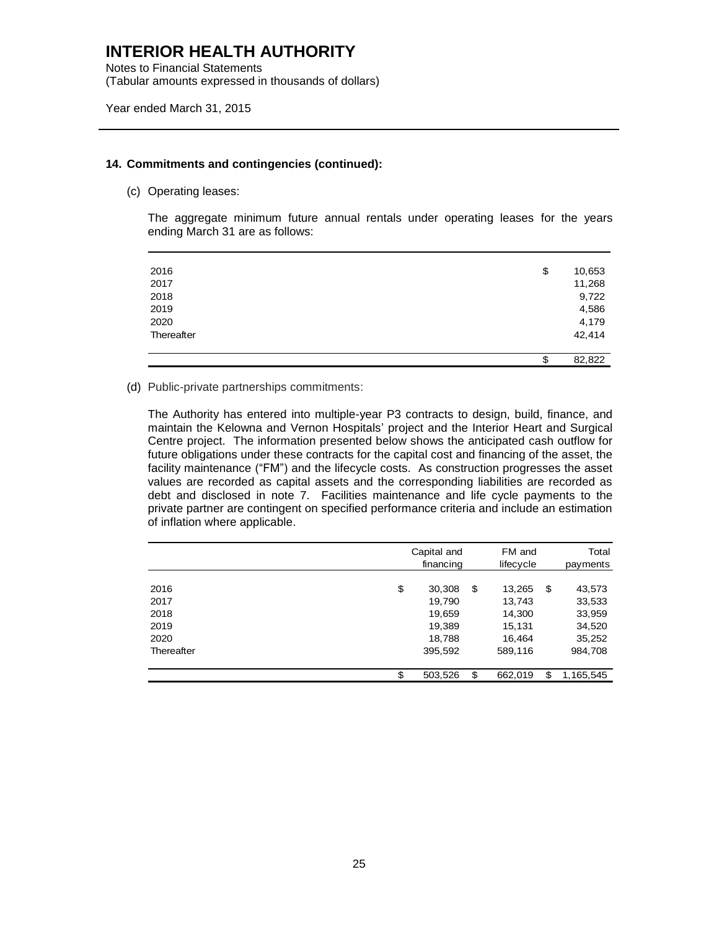Notes to Financial Statements (Tabular amounts expressed in thousands of dollars)

#### **14. Commitments and contingencies (continued):**

(c) Operating leases:

The aggregate minimum future annual rentals under operating leases for the years ending March 31 are as follows:

|            | \$<br>82,822 |
|------------|--------------|
| Thereafter | 42,414       |
| 2020       | 4,179        |
| 2019       | 4,586        |
| 2018       | 9,722        |
| 2017       | 11,268       |
| 2016       | \$<br>10,653 |
|            |              |

#### (d) Public-private partnerships commitments:

The Authority has entered into multiple-year P3 contracts to design, build, finance, and maintain the Kelowna and Vernon Hospitals' project and the Interior Heart and Surgical Centre project. The information presented below shows the anticipated cash outflow for future obligations under these contracts for the capital cost and financing of the asset, the facility maintenance ("FM") and the lifecycle costs. As construction progresses the asset values are recorded as capital assets and the corresponding liabilities are recorded as debt and disclosed in note 7. Facilities maintenance and life cycle payments to the private partner are contingent on specified performance criteria and include an estimation of inflation where applicable.

|            | Capital and<br>financing | FM and<br>lifecycle | Total<br>payments |
|------------|--------------------------|---------------------|-------------------|
|            |                          |                     |                   |
| 2016       | \$<br>30,308             | \$<br>13,265        | \$<br>43,573      |
| 2017       | 19,790                   | 13,743              | 33,533            |
| 2018       | 19,659                   | 14,300              | 33,959            |
| 2019       | 19,389                   | 15,131              | 34,520            |
| 2020       | 18,788                   | 16,464              | 35,252            |
| Thereafter | 395,592                  | 589,116             | 984,708           |
|            |                          |                     |                   |
|            | \$<br>503,526            | \$<br>662,019       | \$<br>1,165,545   |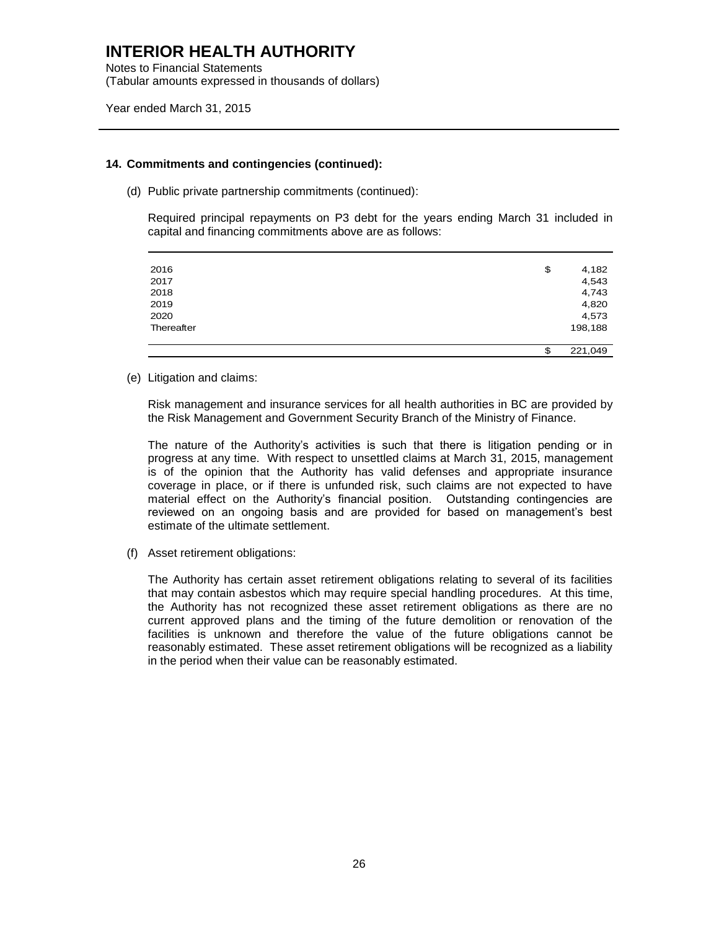Notes to Financial Statements (Tabular amounts expressed in thousands of dollars)

Year ended March 31, 2015

#### **14. Commitments and contingencies (continued):**

(d) Public private partnership commitments (continued):

Required principal repayments on P3 debt for the years ending March 31 included in capital and financing commitments above are as follows:

| 2016       | \$<br>4,182   |
|------------|---------------|
| 2017       | 4,543         |
| 2018       | 4,743         |
| 2019       | 4,820         |
| 2020       | 4,573         |
| Thereafter | 198,188       |
|            |               |
|            | \$<br>221,049 |

(e) Litigation and claims:

Risk management and insurance services for all health authorities in BC are provided by the Risk Management and Government Security Branch of the Ministry of Finance.

The nature of the Authority's activities is such that there is litigation pending or in progress at any time. With respect to unsettled claims at March 31, 2015, management is of the opinion that the Authority has valid defenses and appropriate insurance coverage in place, or if there is unfunded risk, such claims are not expected to have material effect on the Authority's financial position. Outstanding contingencies are reviewed on an ongoing basis and are provided for based on management's best estimate of the ultimate settlement.

(f) Asset retirement obligations:

The Authority has certain asset retirement obligations relating to several of its facilities that may contain asbestos which may require special handling procedures. At this time, the Authority has not recognized these asset retirement obligations as there are no current approved plans and the timing of the future demolition or renovation of the facilities is unknown and therefore the value of the future obligations cannot be reasonably estimated. These asset retirement obligations will be recognized as a liability in the period when their value can be reasonably estimated.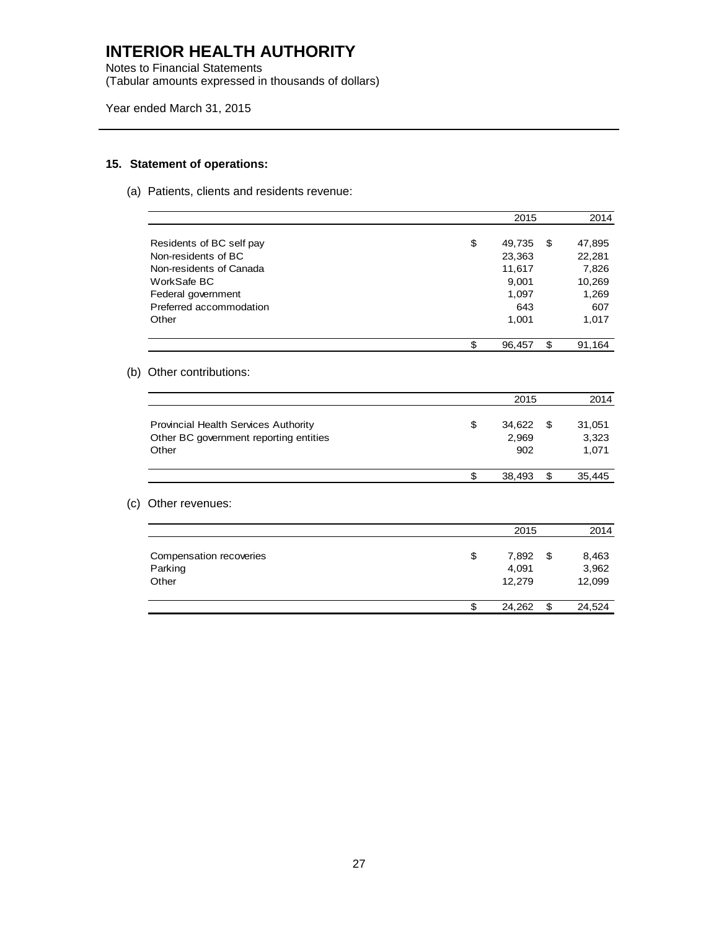Notes to Financial Statements (Tabular amounts expressed in thousands of dollars)

Year ended March 31, 2015

### **15. Statement of operations:**

(a) Patients, clients and residents revenue:

|     |                                                 | 2015                   | 2014                   |
|-----|-------------------------------------------------|------------------------|------------------------|
|     | Residents of BC self pay<br>Non-residents of BC | \$<br>49,735<br>23,363 | \$<br>47,895<br>22,281 |
|     | Non-residents of Canada                         | 11,617                 | 7,826                  |
|     | WorkSafe BC                                     | 9,001                  | 10,269                 |
|     | Federal government                              | 1,097                  | 1,269                  |
|     | Preferred accommodation                         | 643                    | 607                    |
|     | Other                                           | 1,001                  | 1,017                  |
|     |                                                 | \$<br>96,457           | \$<br>91,164           |
| (b) | Other contributions:                            |                        |                        |
|     |                                                 | 2015                   | 2014                   |
|     | Provincial Health Services Authority            | \$<br>34,622           | \$<br>31,051           |
|     | Other BC government reporting entities          | 2,969                  | 3,323                  |
|     | Other                                           | 902                    | 1,071                  |
|     |                                                 | \$<br>38,493           | \$<br>35,445           |
| (c) | Other revenues:                                 |                        |                        |
|     |                                                 | 2015                   | 2014                   |
|     | Compensation recoveries                         | \$<br>7,892            | \$<br>8,463            |
|     | Parking                                         | 4,091                  | 3,962                  |
|     | Other                                           | 12,279                 | 12,099                 |
|     |                                                 | \$<br>24,262           | \$<br>24,524           |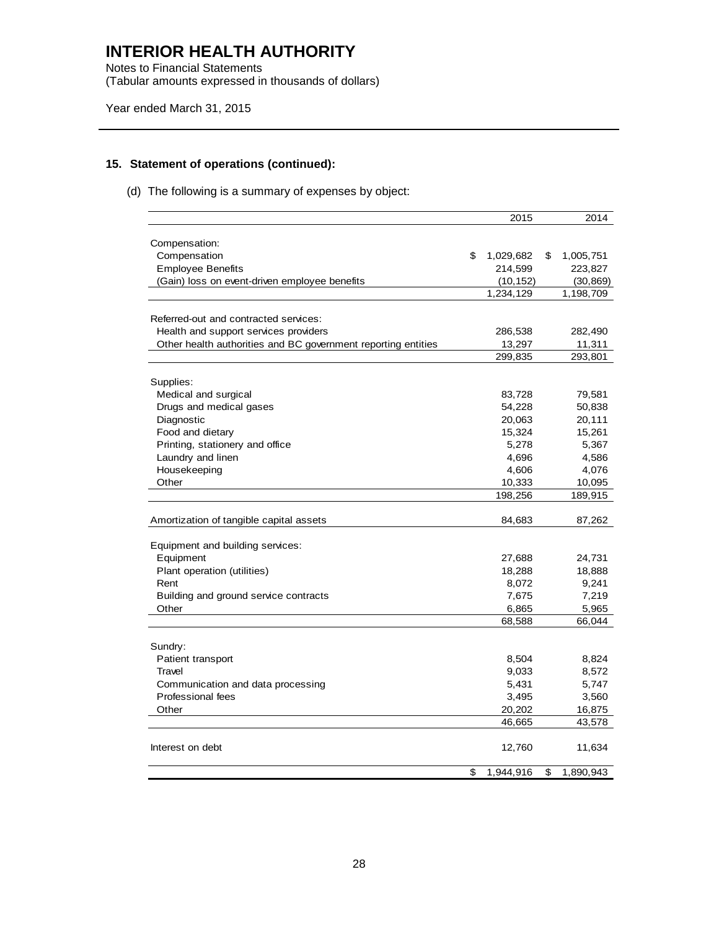Notes to Financial Statements (Tabular amounts expressed in thousands of dollars)

Year ended March 31, 2015

### **15. Statement of operations (continued):**

### (d) The following is a summary of expenses by object:

| 2015<br>2014<br>Compensation:<br>Compensation<br>\$<br>\$<br>1,029,682<br>1,005,751<br><b>Employee Benefits</b><br>214,599<br>223,827<br>(10, 152)<br>(Gain) loss on event-driven employee benefits<br>(30, 869)<br>1,234,129<br>1,198,709<br>Referred-out and contracted services:<br>Health and support services providers<br>286,538<br>282,490<br>Other health authorities and BC government reporting entities<br>13,297<br>11,311<br>299,835<br>293,801<br>Supplies:<br>Medical and surgical<br>83,728<br>79,581<br>Drugs and medical gases<br>54,228<br>50,838<br>Diagnostic<br>20,111<br>20,063<br>Food and dietary<br>15,261<br>15,324<br>Printing, stationery and office<br>5,367<br>5,278<br>Laundry and linen<br>4,586<br>4,696<br>Housekeeping<br>4,606<br>4,076<br>Other<br>10,333<br>10,095<br>198,256<br>189,915<br>Amortization of tangible capital assets<br>84,683<br>87,262<br>Equipment and building services:<br>Equipment<br>27,688<br>24,731<br>Plant operation (utilities)<br>18,888<br>18,288<br>9,241<br>Rent<br>8,072<br>7,219<br>Building and ground service contracts<br>7,675<br>Other<br>6,865<br>5,965<br>68,588<br>66,044<br>Sundry:<br>Patient transport<br>8,504<br>8,824<br>8,572<br>Travel<br>9,033<br>Communication and data processing<br>5,431<br>5,747<br>Professional fees<br>3,495<br>3,560<br>Other<br>20,202<br>16,875<br>43,578<br>46,665<br>Interest on debt<br>12,760<br>11,634<br>1,944,916<br>\$<br>\$<br>1,890,943 |  |  |  |
|------------------------------------------------------------------------------------------------------------------------------------------------------------------------------------------------------------------------------------------------------------------------------------------------------------------------------------------------------------------------------------------------------------------------------------------------------------------------------------------------------------------------------------------------------------------------------------------------------------------------------------------------------------------------------------------------------------------------------------------------------------------------------------------------------------------------------------------------------------------------------------------------------------------------------------------------------------------------------------------------------------------------------------------------------------------------------------------------------------------------------------------------------------------------------------------------------------------------------------------------------------------------------------------------------------------------------------------------------------------------------------------------------------------------------------------------------------------------|--|--|--|
|                                                                                                                                                                                                                                                                                                                                                                                                                                                                                                                                                                                                                                                                                                                                                                                                                                                                                                                                                                                                                                                                                                                                                                                                                                                                                                                                                                                                                                                                        |  |  |  |
|                                                                                                                                                                                                                                                                                                                                                                                                                                                                                                                                                                                                                                                                                                                                                                                                                                                                                                                                                                                                                                                                                                                                                                                                                                                                                                                                                                                                                                                                        |  |  |  |
|                                                                                                                                                                                                                                                                                                                                                                                                                                                                                                                                                                                                                                                                                                                                                                                                                                                                                                                                                                                                                                                                                                                                                                                                                                                                                                                                                                                                                                                                        |  |  |  |
|                                                                                                                                                                                                                                                                                                                                                                                                                                                                                                                                                                                                                                                                                                                                                                                                                                                                                                                                                                                                                                                                                                                                                                                                                                                                                                                                                                                                                                                                        |  |  |  |
|                                                                                                                                                                                                                                                                                                                                                                                                                                                                                                                                                                                                                                                                                                                                                                                                                                                                                                                                                                                                                                                                                                                                                                                                                                                                                                                                                                                                                                                                        |  |  |  |
|                                                                                                                                                                                                                                                                                                                                                                                                                                                                                                                                                                                                                                                                                                                                                                                                                                                                                                                                                                                                                                                                                                                                                                                                                                                                                                                                                                                                                                                                        |  |  |  |
|                                                                                                                                                                                                                                                                                                                                                                                                                                                                                                                                                                                                                                                                                                                                                                                                                                                                                                                                                                                                                                                                                                                                                                                                                                                                                                                                                                                                                                                                        |  |  |  |
|                                                                                                                                                                                                                                                                                                                                                                                                                                                                                                                                                                                                                                                                                                                                                                                                                                                                                                                                                                                                                                                                                                                                                                                                                                                                                                                                                                                                                                                                        |  |  |  |
|                                                                                                                                                                                                                                                                                                                                                                                                                                                                                                                                                                                                                                                                                                                                                                                                                                                                                                                                                                                                                                                                                                                                                                                                                                                                                                                                                                                                                                                                        |  |  |  |
|                                                                                                                                                                                                                                                                                                                                                                                                                                                                                                                                                                                                                                                                                                                                                                                                                                                                                                                                                                                                                                                                                                                                                                                                                                                                                                                                                                                                                                                                        |  |  |  |
|                                                                                                                                                                                                                                                                                                                                                                                                                                                                                                                                                                                                                                                                                                                                                                                                                                                                                                                                                                                                                                                                                                                                                                                                                                                                                                                                                                                                                                                                        |  |  |  |
|                                                                                                                                                                                                                                                                                                                                                                                                                                                                                                                                                                                                                                                                                                                                                                                                                                                                                                                                                                                                                                                                                                                                                                                                                                                                                                                                                                                                                                                                        |  |  |  |
|                                                                                                                                                                                                                                                                                                                                                                                                                                                                                                                                                                                                                                                                                                                                                                                                                                                                                                                                                                                                                                                                                                                                                                                                                                                                                                                                                                                                                                                                        |  |  |  |
|                                                                                                                                                                                                                                                                                                                                                                                                                                                                                                                                                                                                                                                                                                                                                                                                                                                                                                                                                                                                                                                                                                                                                                                                                                                                                                                                                                                                                                                                        |  |  |  |
|                                                                                                                                                                                                                                                                                                                                                                                                                                                                                                                                                                                                                                                                                                                                                                                                                                                                                                                                                                                                                                                                                                                                                                                                                                                                                                                                                                                                                                                                        |  |  |  |
|                                                                                                                                                                                                                                                                                                                                                                                                                                                                                                                                                                                                                                                                                                                                                                                                                                                                                                                                                                                                                                                                                                                                                                                                                                                                                                                                                                                                                                                                        |  |  |  |
|                                                                                                                                                                                                                                                                                                                                                                                                                                                                                                                                                                                                                                                                                                                                                                                                                                                                                                                                                                                                                                                                                                                                                                                                                                                                                                                                                                                                                                                                        |  |  |  |
|                                                                                                                                                                                                                                                                                                                                                                                                                                                                                                                                                                                                                                                                                                                                                                                                                                                                                                                                                                                                                                                                                                                                                                                                                                                                                                                                                                                                                                                                        |  |  |  |
|                                                                                                                                                                                                                                                                                                                                                                                                                                                                                                                                                                                                                                                                                                                                                                                                                                                                                                                                                                                                                                                                                                                                                                                                                                                                                                                                                                                                                                                                        |  |  |  |
|                                                                                                                                                                                                                                                                                                                                                                                                                                                                                                                                                                                                                                                                                                                                                                                                                                                                                                                                                                                                                                                                                                                                                                                                                                                                                                                                                                                                                                                                        |  |  |  |
|                                                                                                                                                                                                                                                                                                                                                                                                                                                                                                                                                                                                                                                                                                                                                                                                                                                                                                                                                                                                                                                                                                                                                                                                                                                                                                                                                                                                                                                                        |  |  |  |
|                                                                                                                                                                                                                                                                                                                                                                                                                                                                                                                                                                                                                                                                                                                                                                                                                                                                                                                                                                                                                                                                                                                                                                                                                                                                                                                                                                                                                                                                        |  |  |  |
|                                                                                                                                                                                                                                                                                                                                                                                                                                                                                                                                                                                                                                                                                                                                                                                                                                                                                                                                                                                                                                                                                                                                                                                                                                                                                                                                                                                                                                                                        |  |  |  |
|                                                                                                                                                                                                                                                                                                                                                                                                                                                                                                                                                                                                                                                                                                                                                                                                                                                                                                                                                                                                                                                                                                                                                                                                                                                                                                                                                                                                                                                                        |  |  |  |
|                                                                                                                                                                                                                                                                                                                                                                                                                                                                                                                                                                                                                                                                                                                                                                                                                                                                                                                                                                                                                                                                                                                                                                                                                                                                                                                                                                                                                                                                        |  |  |  |
|                                                                                                                                                                                                                                                                                                                                                                                                                                                                                                                                                                                                                                                                                                                                                                                                                                                                                                                                                                                                                                                                                                                                                                                                                                                                                                                                                                                                                                                                        |  |  |  |
|                                                                                                                                                                                                                                                                                                                                                                                                                                                                                                                                                                                                                                                                                                                                                                                                                                                                                                                                                                                                                                                                                                                                                                                                                                                                                                                                                                                                                                                                        |  |  |  |
|                                                                                                                                                                                                                                                                                                                                                                                                                                                                                                                                                                                                                                                                                                                                                                                                                                                                                                                                                                                                                                                                                                                                                                                                                                                                                                                                                                                                                                                                        |  |  |  |
|                                                                                                                                                                                                                                                                                                                                                                                                                                                                                                                                                                                                                                                                                                                                                                                                                                                                                                                                                                                                                                                                                                                                                                                                                                                                                                                                                                                                                                                                        |  |  |  |
|                                                                                                                                                                                                                                                                                                                                                                                                                                                                                                                                                                                                                                                                                                                                                                                                                                                                                                                                                                                                                                                                                                                                                                                                                                                                                                                                                                                                                                                                        |  |  |  |
|                                                                                                                                                                                                                                                                                                                                                                                                                                                                                                                                                                                                                                                                                                                                                                                                                                                                                                                                                                                                                                                                                                                                                                                                                                                                                                                                                                                                                                                                        |  |  |  |
|                                                                                                                                                                                                                                                                                                                                                                                                                                                                                                                                                                                                                                                                                                                                                                                                                                                                                                                                                                                                                                                                                                                                                                                                                                                                                                                                                                                                                                                                        |  |  |  |
|                                                                                                                                                                                                                                                                                                                                                                                                                                                                                                                                                                                                                                                                                                                                                                                                                                                                                                                                                                                                                                                                                                                                                                                                                                                                                                                                                                                                                                                                        |  |  |  |
|                                                                                                                                                                                                                                                                                                                                                                                                                                                                                                                                                                                                                                                                                                                                                                                                                                                                                                                                                                                                                                                                                                                                                                                                                                                                                                                                                                                                                                                                        |  |  |  |
|                                                                                                                                                                                                                                                                                                                                                                                                                                                                                                                                                                                                                                                                                                                                                                                                                                                                                                                                                                                                                                                                                                                                                                                                                                                                                                                                                                                                                                                                        |  |  |  |
|                                                                                                                                                                                                                                                                                                                                                                                                                                                                                                                                                                                                                                                                                                                                                                                                                                                                                                                                                                                                                                                                                                                                                                                                                                                                                                                                                                                                                                                                        |  |  |  |
|                                                                                                                                                                                                                                                                                                                                                                                                                                                                                                                                                                                                                                                                                                                                                                                                                                                                                                                                                                                                                                                                                                                                                                                                                                                                                                                                                                                                                                                                        |  |  |  |
|                                                                                                                                                                                                                                                                                                                                                                                                                                                                                                                                                                                                                                                                                                                                                                                                                                                                                                                                                                                                                                                                                                                                                                                                                                                                                                                                                                                                                                                                        |  |  |  |
|                                                                                                                                                                                                                                                                                                                                                                                                                                                                                                                                                                                                                                                                                                                                                                                                                                                                                                                                                                                                                                                                                                                                                                                                                                                                                                                                                                                                                                                                        |  |  |  |
|                                                                                                                                                                                                                                                                                                                                                                                                                                                                                                                                                                                                                                                                                                                                                                                                                                                                                                                                                                                                                                                                                                                                                                                                                                                                                                                                                                                                                                                                        |  |  |  |
|                                                                                                                                                                                                                                                                                                                                                                                                                                                                                                                                                                                                                                                                                                                                                                                                                                                                                                                                                                                                                                                                                                                                                                                                                                                                                                                                                                                                                                                                        |  |  |  |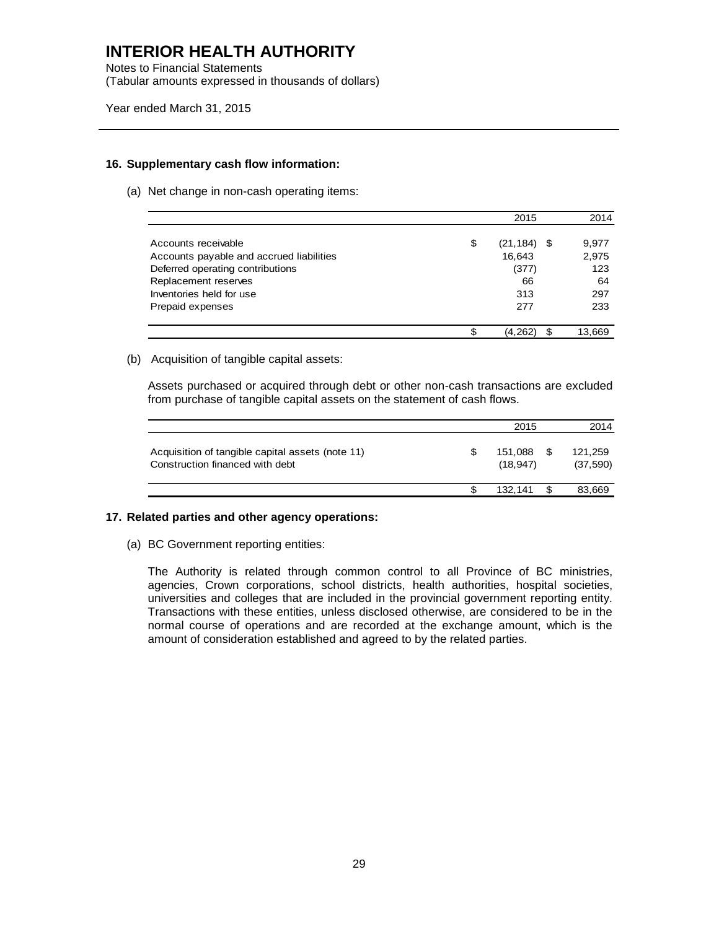Notes to Financial Statements (Tabular amounts expressed in thousands of dollars)

Year ended March 31, 2015

#### **16. Supplementary cash flow information:**

(a) Net change in non-cash operating items:

|                                          | 2015                 | 2014   |
|------------------------------------------|----------------------|--------|
| Accounts receivable                      | \$<br>$(21, 184)$ \$ | 9,977  |
| Accounts payable and accrued liabilities | 16,643               | 2,975  |
| Deferred operating contributions         | (377)                | 123    |
| Replacement reserves                     | 66                   | 64     |
| Inventories held for use                 | 313                  | 297    |
| Prepaid expenses                         | 277                  | 233    |
|                                          | \$<br>(4,262)        | 13,669 |

#### (b) Acquisition of tangible capital assets:

Assets purchased or acquired through debt or other non-cash transactions are excluded from purchase of tangible capital assets on the statement of cash flows.

|                                                                                     |     | 2015                |      | 2014                |
|-------------------------------------------------------------------------------------|-----|---------------------|------|---------------------|
| Acquisition of tangible capital assets (note 11)<br>Construction financed with debt | \$. | 151.088<br>(18.947) | - \$ | 121.259<br>(37,590) |
|                                                                                     |     | 132.141             |      | 83,669              |

#### **17. Related parties and other agency operations:**

(a) BC Government reporting entities:

The Authority is related through common control to all Province of BC ministries, agencies, Crown corporations, school districts, health authorities, hospital societies, universities and colleges that are included in the provincial government reporting entity. Transactions with these entities, unless disclosed otherwise, are considered to be in the normal course of operations and are recorded at the exchange amount, which is the amount of consideration established and agreed to by the related parties.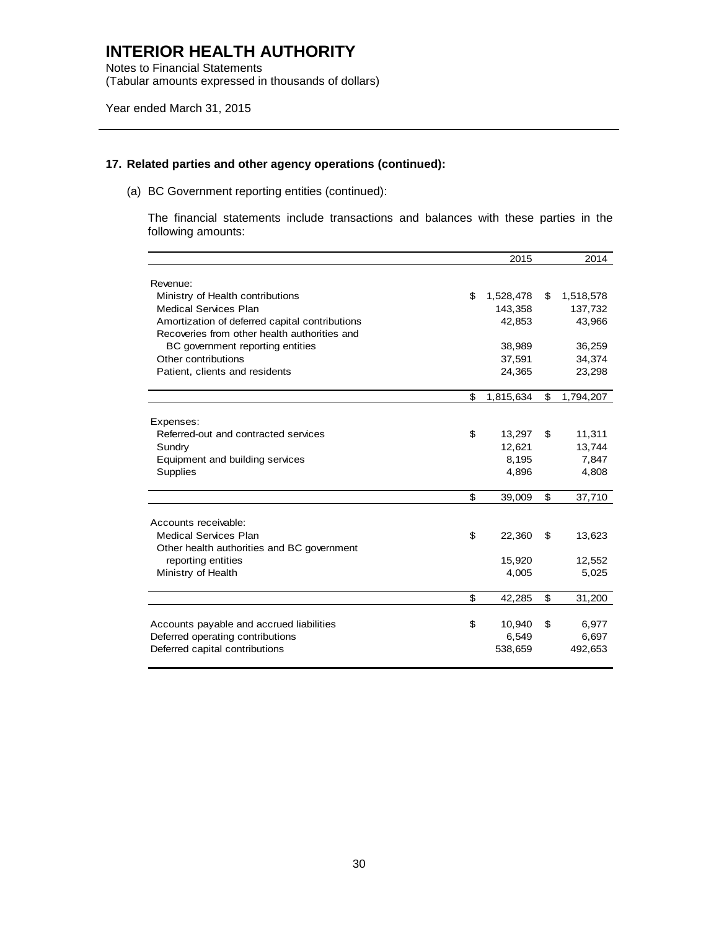Notes to Financial Statements (Tabular amounts expressed in thousands of dollars)

Year ended March 31, 2015

### **17. Related parties and other agency operations (continued):**

(a) BC Government reporting entities (continued):

The financial statements include transactions and balances with these parties in the following amounts:

|                                                | 2015            | 2014            |
|------------------------------------------------|-----------------|-----------------|
|                                                |                 |                 |
| Revenue:                                       |                 |                 |
| Ministry of Health contributions               | \$<br>1,528,478 | \$<br>1,518,578 |
| Medical Services Plan                          | 143,358         | 137,732         |
| Amortization of deferred capital contributions | 42,853          | 43,966          |
| Recoveries from other health authorities and   |                 |                 |
| BC government reporting entities               | 38,989          | 36,259          |
| Other contributions                            | 37,591          | 34,374          |
| Patient, clients and residents                 | 24,365          | 23,298          |
|                                                |                 |                 |
|                                                | \$<br>1,815,634 | \$<br>1,794,207 |
|                                                |                 |                 |
| Expenses:                                      |                 |                 |
| Referred-out and contracted services           | \$<br>13,297    | \$<br>11,311    |
| Sundry                                         | 12.621          | 13,744          |
| Equipment and building services                | 8,195           | 7,847           |
| Supplies                                       | 4,896           | 4,808           |
|                                                |                 |                 |
|                                                | \$<br>39,009    | \$<br>37,710    |
| Accounts receivable:                           |                 |                 |
| <b>Medical Services Plan</b>                   | \$<br>22,360    | \$<br>13,623    |
|                                                |                 |                 |
| Other health authorities and BC government     |                 |                 |
| reporting entities                             | 15,920          | 12,552          |
| Ministry of Health                             | 4,005           | 5,025           |
|                                                | \$<br>42,285    | \$<br>31,200    |
|                                                |                 |                 |
| Accounts payable and accrued liabilities       | \$<br>10,940    | \$<br>6,977     |
| Deferred operating contributions               | 6,549           | 6,697           |
| Deferred capital contributions                 | 538,659         | 492,653         |
|                                                |                 |                 |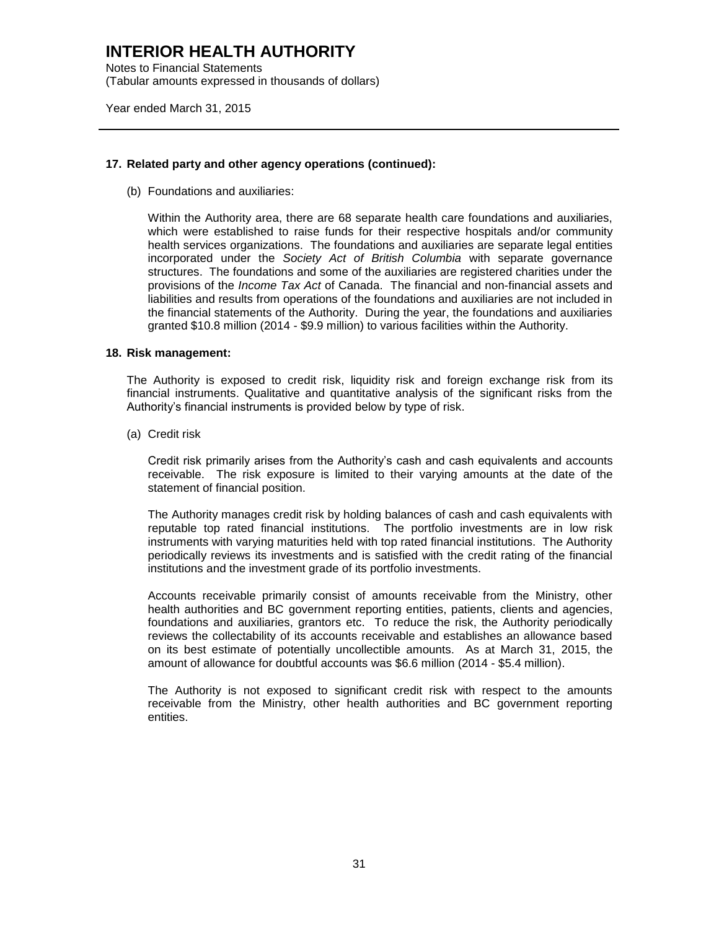Notes to Financial Statements (Tabular amounts expressed in thousands of dollars)

Year ended March 31, 2015

#### **17. Related party and other agency operations (continued):**

(b) Foundations and auxiliaries:

Within the Authority area, there are 68 separate health care foundations and auxiliaries, which were established to raise funds for their respective hospitals and/or community health services organizations. The foundations and auxiliaries are separate legal entities incorporated under the *Society Act of British Columbia* with separate governance structures. The foundations and some of the auxiliaries are registered charities under the provisions of the *Income Tax Act* of Canada. The financial and non-financial assets and liabilities and results from operations of the foundations and auxiliaries are not included in the financial statements of the Authority. During the year, the foundations and auxiliaries granted \$10.8 million (2014 - \$9.9 million) to various facilities within the Authority.

#### **18. Risk management:**

The Authority is exposed to credit risk, liquidity risk and foreign exchange risk from its financial instruments. Qualitative and quantitative analysis of the significant risks from the Authority's financial instruments is provided below by type of risk.

(a) Credit risk

Credit risk primarily arises from the Authority's cash and cash equivalents and accounts receivable. The risk exposure is limited to their varying amounts at the date of the statement of financial position.

The Authority manages credit risk by holding balances of cash and cash equivalents with reputable top rated financial institutions. The portfolio investments are in low risk instruments with varying maturities held with top rated financial institutions. The Authority periodically reviews its investments and is satisfied with the credit rating of the financial institutions and the investment grade of its portfolio investments.

Accounts receivable primarily consist of amounts receivable from the Ministry, other health authorities and BC government reporting entities, patients, clients and agencies, foundations and auxiliaries, grantors etc. To reduce the risk, the Authority periodically reviews the collectability of its accounts receivable and establishes an allowance based on its best estimate of potentially uncollectible amounts. As at March 31, 2015, the amount of allowance for doubtful accounts was \$6.6 million (2014 - \$5.4 million).

The Authority is not exposed to significant credit risk with respect to the amounts receivable from the Ministry, other health authorities and BC government reporting entities.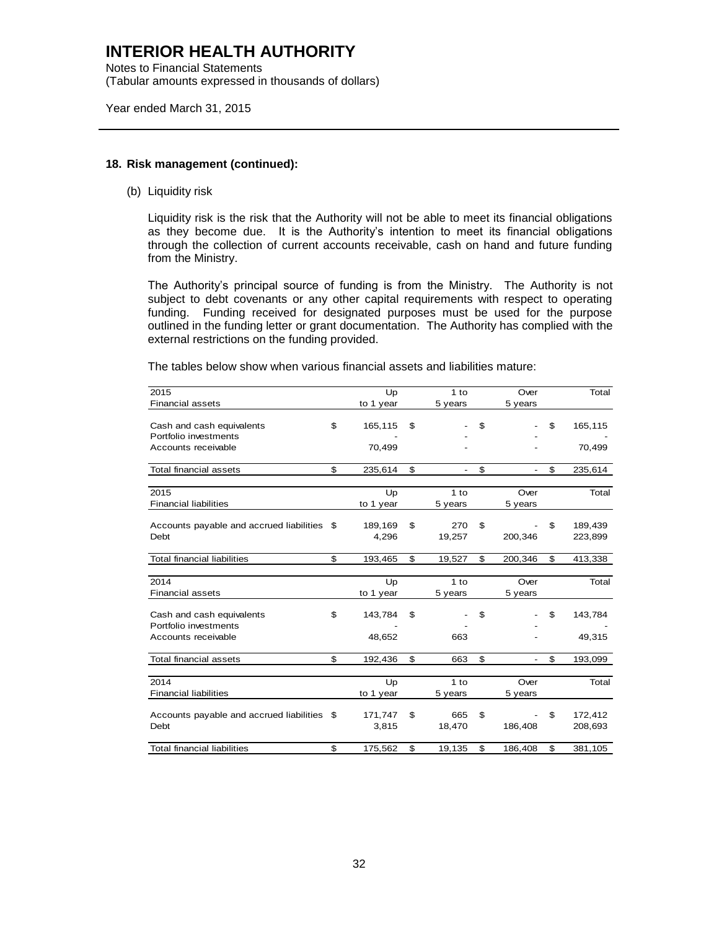Notes to Financial Statements (Tabular amounts expressed in thousands of dollars)

Year ended March 31, 2015

#### **18. Risk management (continued):**

(b) Liquidity risk

Liquidity risk is the risk that the Authority will not be able to meet its financial obligations as they become due. It is the Authority's intention to meet its financial obligations through the collection of current accounts receivable, cash on hand and future funding from the Ministry.

The Authority's principal source of funding is from the Ministry. The Authority is not subject to debt covenants or any other capital requirements with respect to operating funding. Funding received for designated purposes must be used for the purpose outlined in the funding letter or grant documentation. The Authority has complied with the external restrictions on the funding provided.

The tables below show when various financial assets and liabilities mature:

| 2015                                        |     | Up        | 1 to                           | Over                           | Total         |
|---------------------------------------------|-----|-----------|--------------------------------|--------------------------------|---------------|
| <b>Financial assets</b>                     |     | to 1 year | 5 years                        | 5 years                        |               |
|                                             |     |           |                                |                                |               |
| Cash and cash equivalents                   | \$  | 165,115   | \$                             | \$                             | \$<br>165,115 |
| Portfolio investments                       |     |           |                                |                                |               |
| Accounts receivable                         |     | 70,499    |                                |                                | 70,499        |
|                                             |     |           |                                |                                |               |
| <b>Total financial assets</b>               | \$  | 235,614   | \$<br>$\overline{\phantom{a}}$ | \$<br>$\overline{\phantom{0}}$ | \$<br>235,614 |
|                                             |     |           |                                |                                |               |
| 2015                                        |     | Up        | $1$ to                         | Over                           | Total         |
| <b>Financial liabilities</b>                |     | to 1 year | 5 years                        | 5 years                        |               |
|                                             |     |           |                                |                                |               |
| Accounts payable and accrued liabilities \$ |     | 189,169   | \$<br>270                      | \$                             | \$<br>189,439 |
| Debt                                        |     | 4,296     | 19,257                         | 200,346                        | 223,899       |
|                                             |     |           |                                |                                |               |
| <b>Total financial liabilities</b>          | \$  | 193,465   | \$<br>19,527                   | \$<br>200,346                  | \$<br>413,338 |
|                                             |     |           |                                |                                |               |
| 2014                                        |     | Up        | $1$ to                         | Over                           | Total         |
| <b>Financial assets</b>                     |     | to 1 year | 5 years                        | 5 years                        |               |
|                                             |     |           |                                |                                |               |
| Cash and cash equivalents                   | \$  | 143,784   | \$                             | \$                             | \$<br>143,784 |
| Portfolio investments                       |     |           |                                |                                |               |
| Accounts receivable                         |     | 48,652    | 663                            |                                | 49,315        |
|                                             |     |           |                                |                                |               |
| <b>Total financial assets</b>               | \$  | 192,436   | \$<br>663                      | \$<br>$\overline{a}$           | \$<br>193,099 |
|                                             |     |           |                                |                                |               |
| 2014                                        |     | Up        | $1$ to                         | Over                           | Total         |
| <b>Financial liabilities</b>                |     | to 1 year | 5 years                        | 5 years                        |               |
|                                             |     |           |                                |                                |               |
| Accounts payable and accrued liabilities    | -\$ | 171,747   | \$<br>665                      | \$                             | \$<br>172,412 |
| Debt                                        |     | 3,815     | 18,470                         | 186,408                        | 208,693       |
|                                             |     |           |                                |                                |               |
| <b>Total financial liabilities</b>          | \$  | 175,562   | \$<br>19,135                   | \$<br>186,408                  | \$<br>381,105 |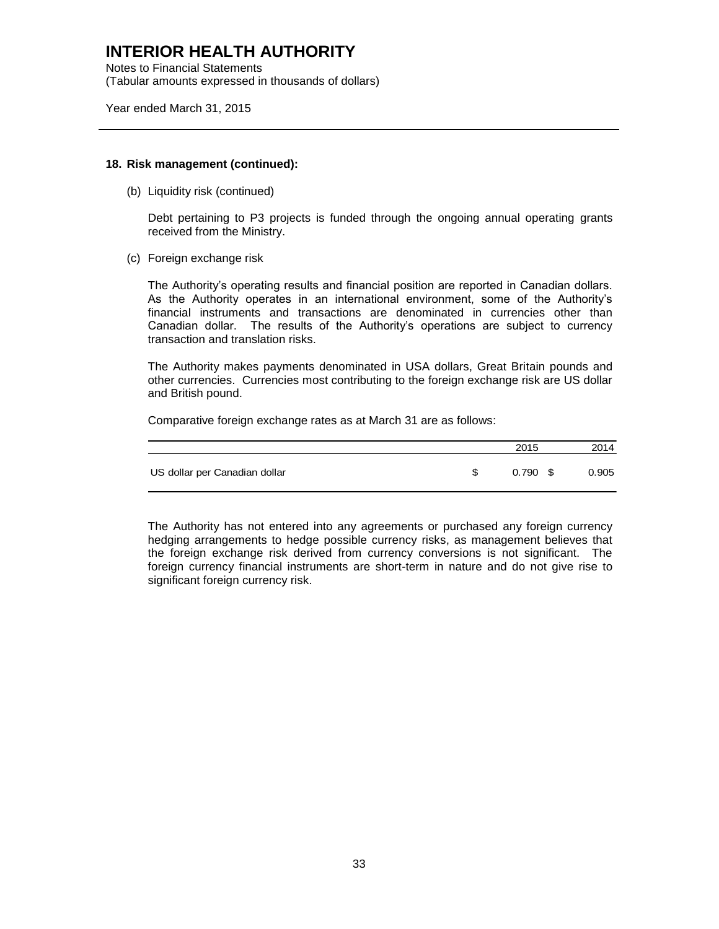Notes to Financial Statements (Tabular amounts expressed in thousands of dollars)

Year ended March 31, 2015

#### **18. Risk management (continued):**

(b) Liquidity risk (continued)

Debt pertaining to P3 projects is funded through the ongoing annual operating grants received from the Ministry.

(c) Foreign exchange risk

The Authority's operating results and financial position are reported in Canadian dollars. As the Authority operates in an international environment, some of the Authority's financial instruments and transactions are denominated in currencies other than Canadian dollar. The results of the Authority's operations are subject to currency transaction and translation risks.

The Authority makes payments denominated in USA dollars, Great Britain pounds and other currencies. Currencies most contributing to the foreign exchange risk are US dollar and British pound.

Comparative foreign exchange rates as at March 31 are as follows:

|                               | 2015       | 2014  |
|-------------------------------|------------|-------|
| US dollar per Canadian dollar | $0.790$ \$ | 0.905 |

The Authority has not entered into any agreements or purchased any foreign currency hedging arrangements to hedge possible currency risks, as management believes that the foreign exchange risk derived from currency conversions is not significant. The foreign currency financial instruments are short-term in nature and do not give rise to significant foreign currency risk.